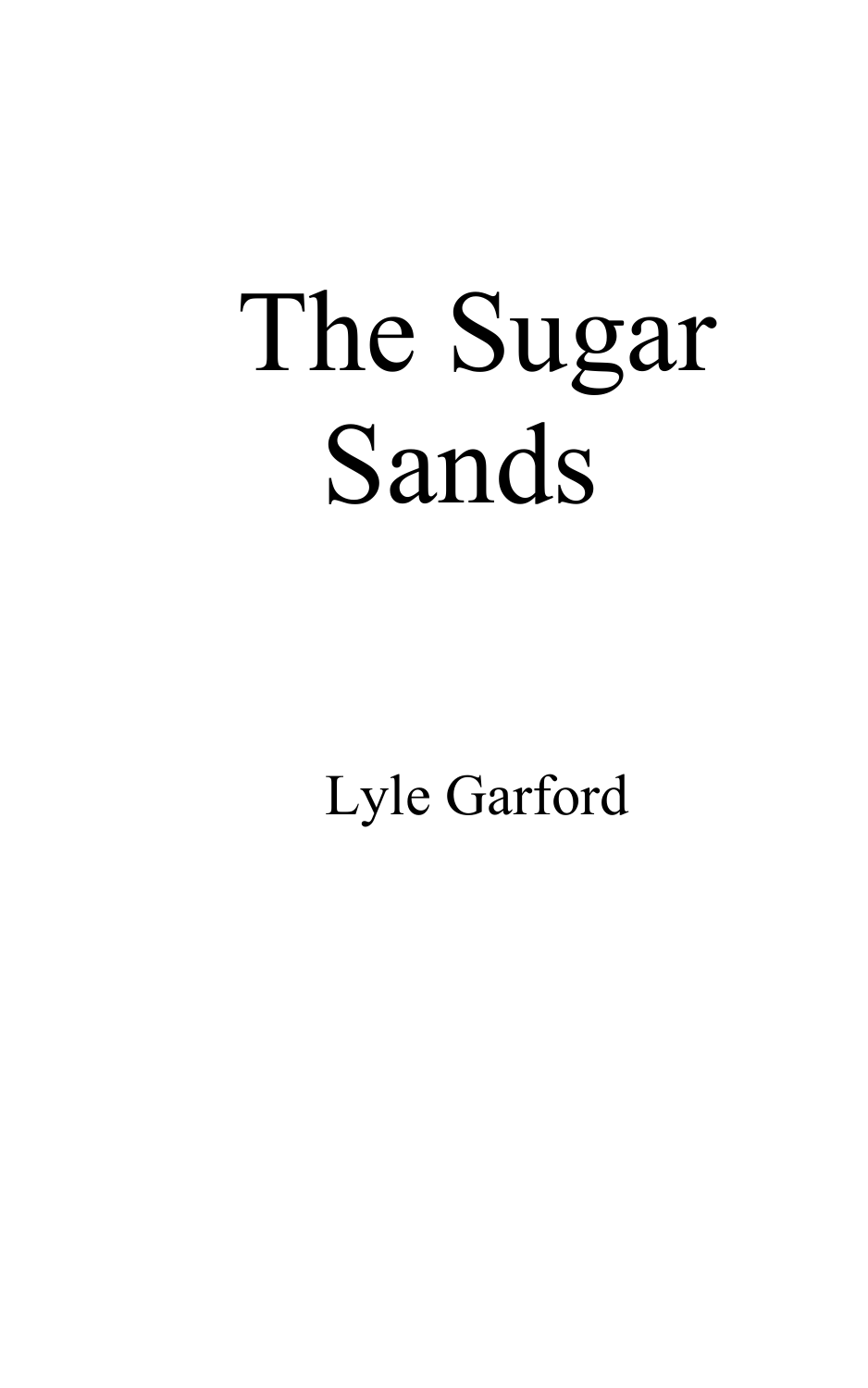## The Sugar Sands

Lyle Garford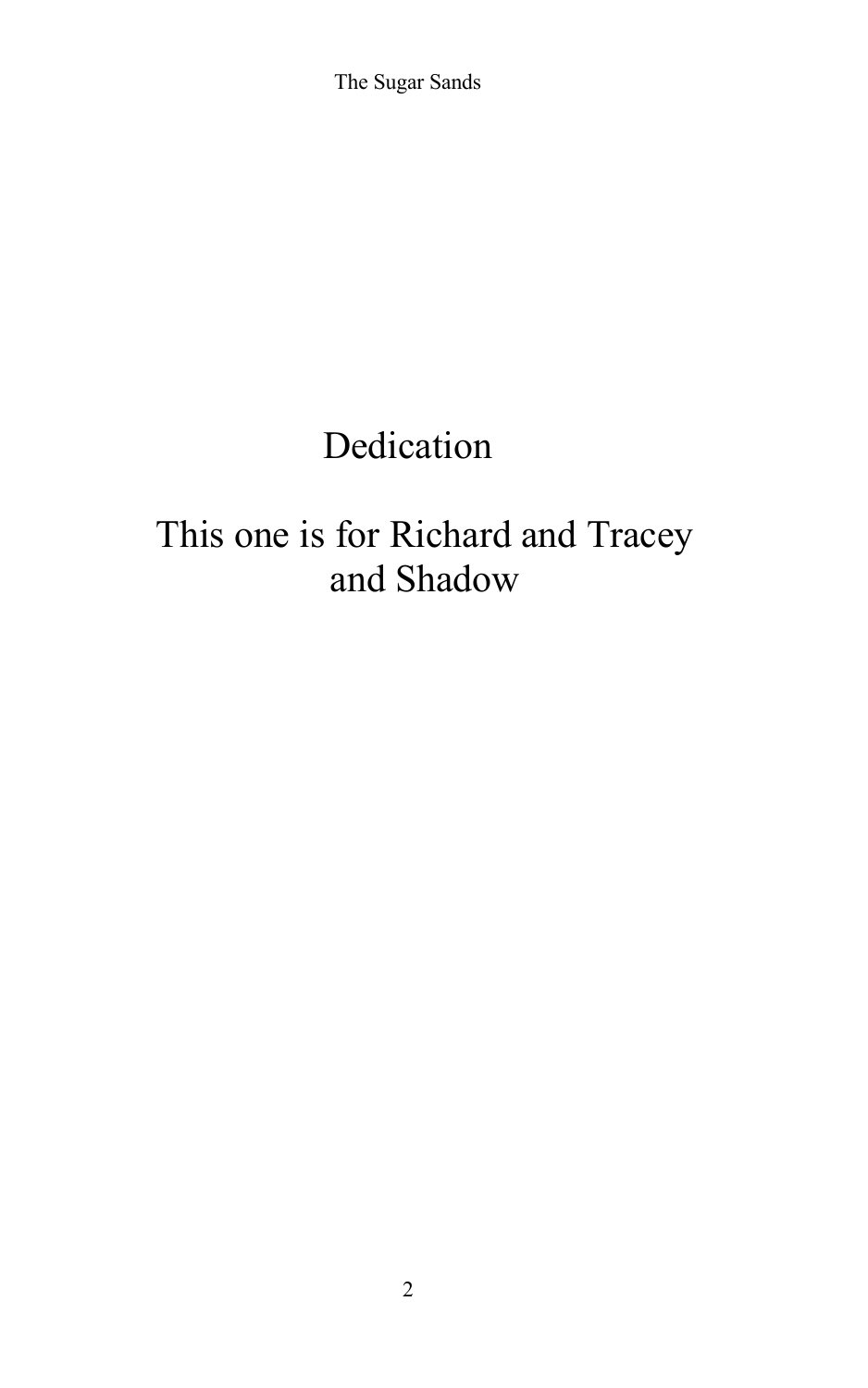The Sugar Sands

## Dedication

## This one is for Richard and Tracey and Shadow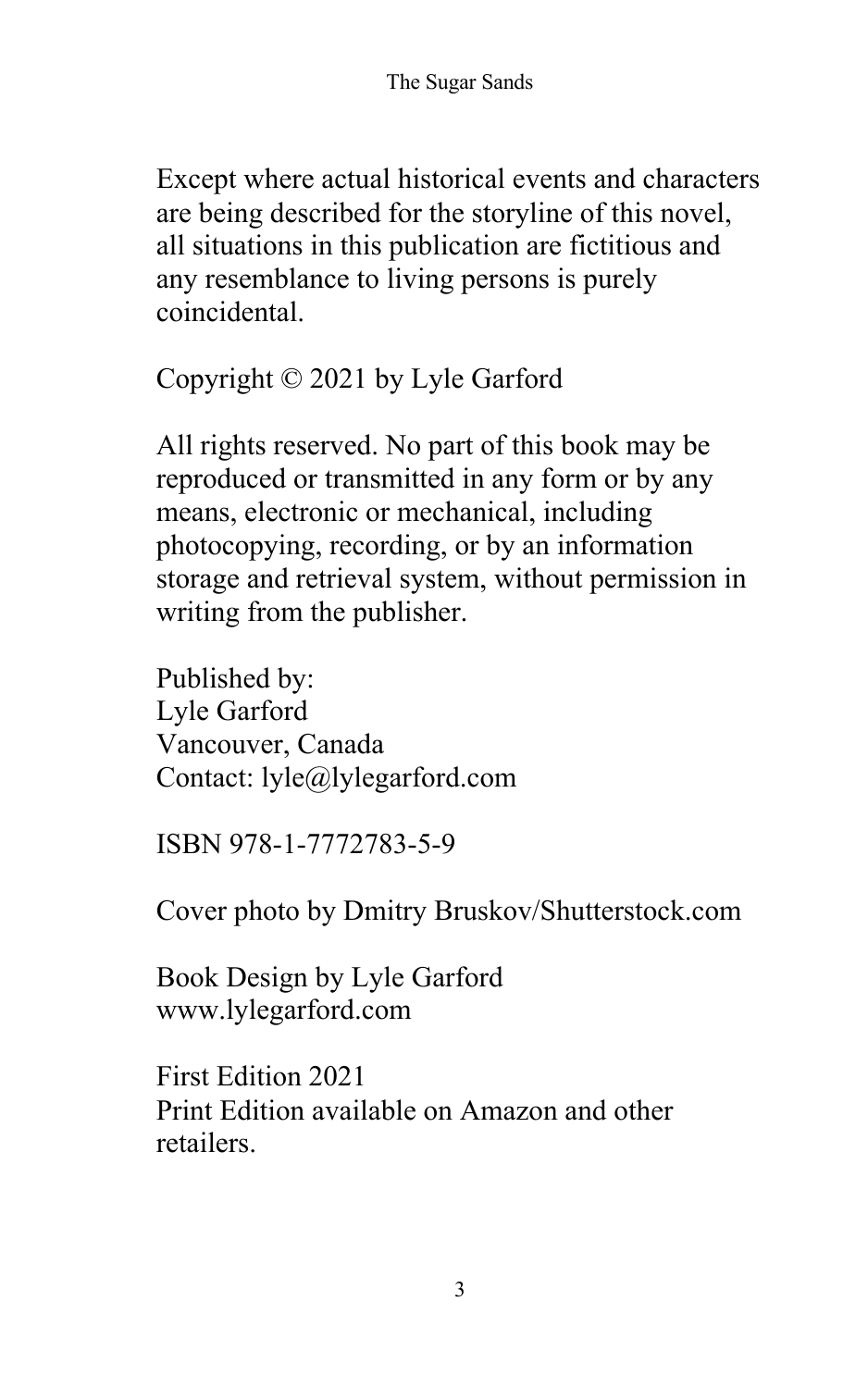Except where actual historical events and characters are being described for the storyline of this novel, all situations in this publication are fictitious and any resemblance to living persons is purely coincidental.

Copyright © 2021 by Lyle Garford

All rights reserved. No part of this book may be reproduced or transmitted in any form or by any means, electronic or mechanical, including photocopying, recording, or by an information storage and retrieval system, without permission in writing from the publisher.

Published by: Lyle Garford Vancouver, Canada Contact: lyle@lylegarford.com

ISBN 978-1-7772783-5-9

Cover photo by Dmitry Bruskov/Shutterstock.com

Book Design by Lyle Garford www.lylegarford.com

First Edition 2021 Print Edition available on Amazon and other retailers.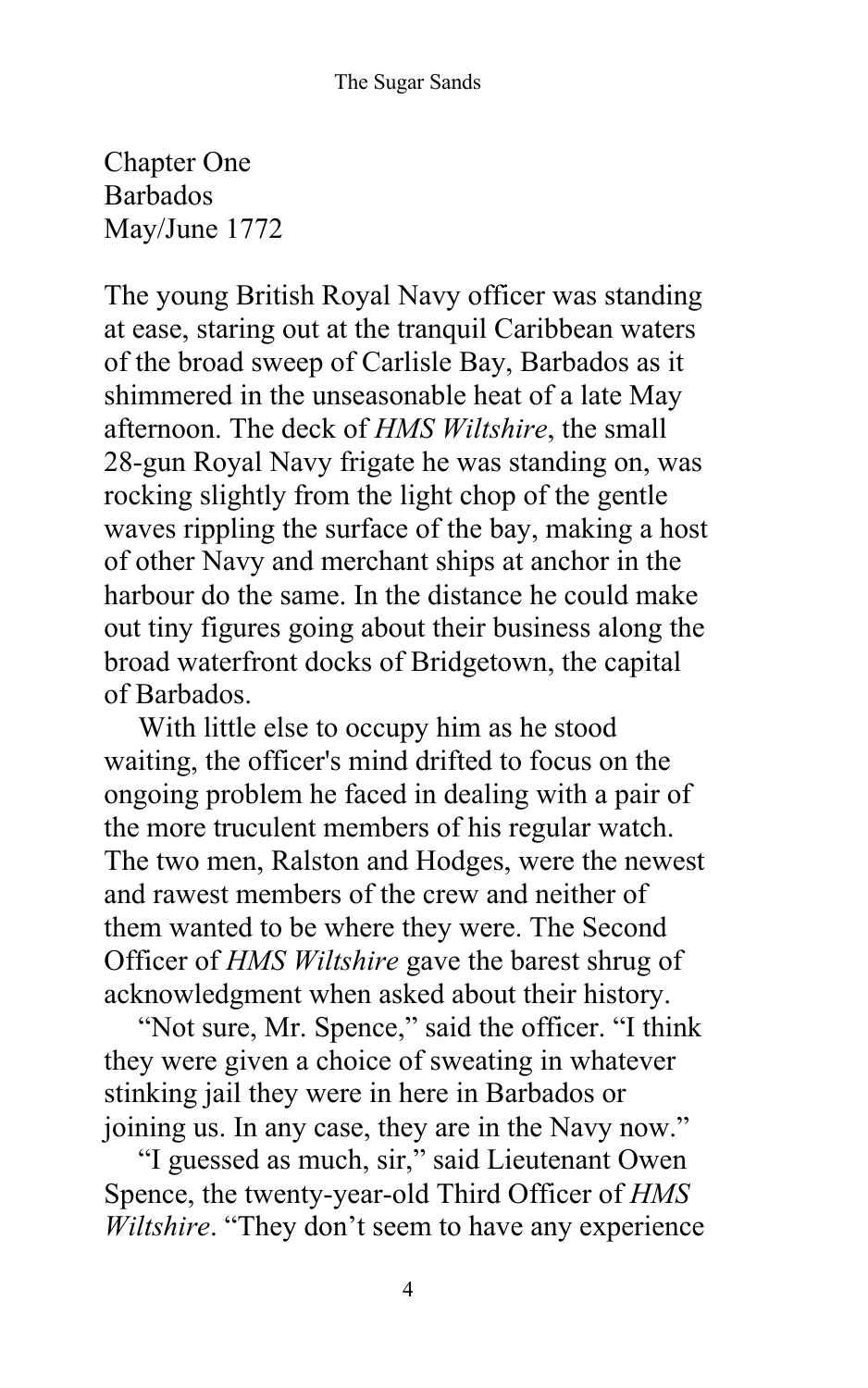Chapter One Barbados May/June 1772

The young British Royal Navy officer was standing at ease, staring out at the tranquil Caribbean waters of the broad sweep of Carlisle Bay, Barbados as it shimmered in the unseasonable heat of a late May afternoon. The deck of *HMS Wiltshire*, the small 28-gun Royal Navy frigate he was standing on, was rocking slightly from the light chop of the gentle waves rippling the surface of the bay, making a host of other Navy and merchant ships at anchor in the harbour do the same. In the distance he could make out tiny figures going about their business along the broad waterfront docks of Bridgetown, the capital of Barbados.

With little else to occupy him as he stood waiting, the officer's mind drifted to focus on the ongoing problem he faced in dealing with a pair of the more truculent members of his regular watch. The two men, Ralston and Hodges, were the newest and rawest members of the crew and neither of them wanted to be where they were. The Second Officer of *HMS Wiltshire* gave the barest shrug of acknowledgment when asked about their history.

"Not sure, Mr. Spence," said the officer. "I think they were given a choice of sweating in whatever stinking jail they were in here in Barbados or joining us. In any case, they are in the Navy now."

"I guessed as much, sir," said Lieutenant Owen Spence, the twenty-year-old Third Officer of *HMS Wiltshire*. "They don't seem to have any experience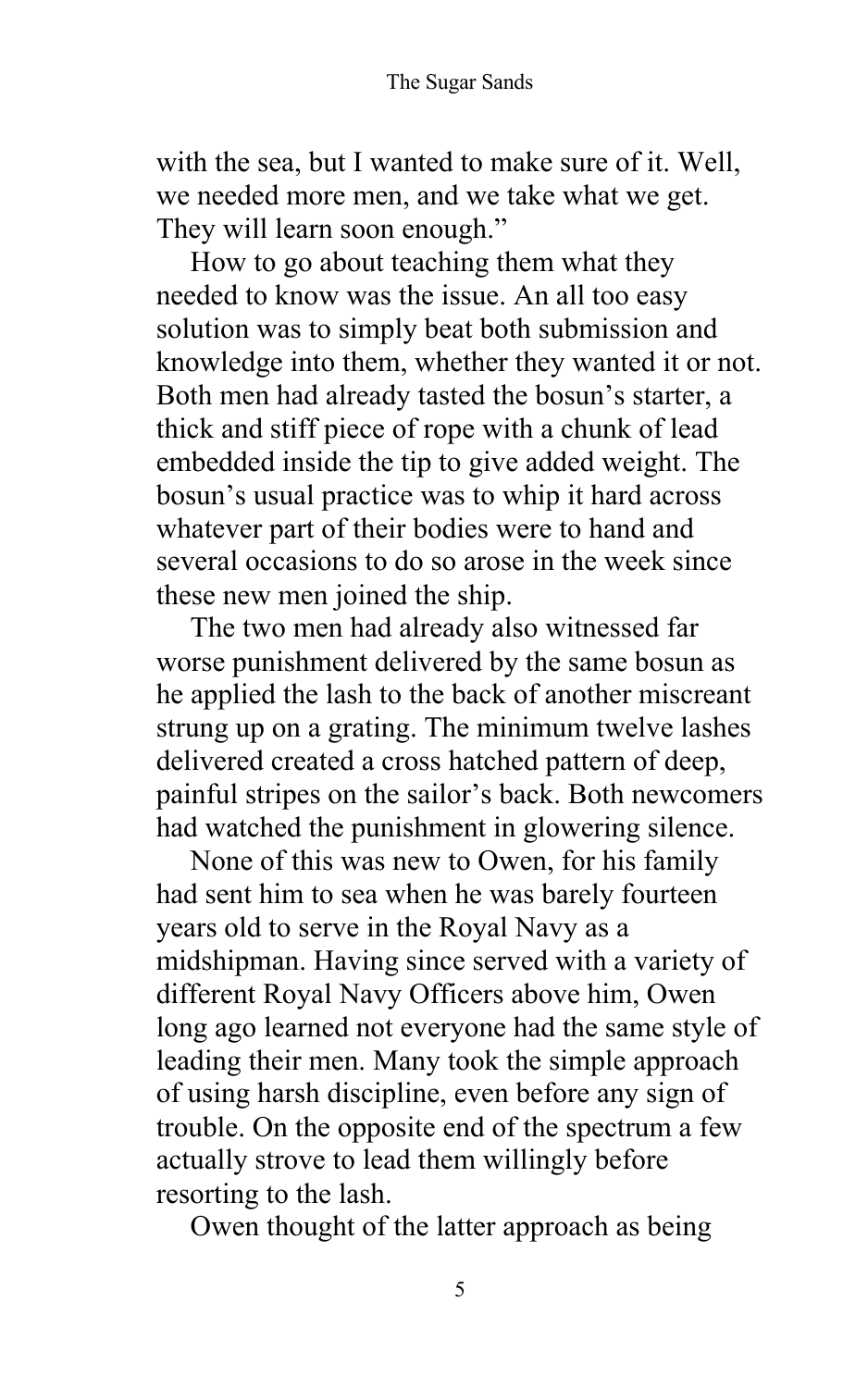with the sea, but I wanted to make sure of it. Well, we needed more men, and we take what we get. They will learn soon enough."

How to go about teaching them what they needed to know was the issue. An all too easy solution was to simply beat both submission and knowledge into them, whether they wanted it or not. Both men had already tasted the bosun's starter, a thick and stiff piece of rope with a chunk of lead embedded inside the tip to give added weight. The bosun's usual practice was to whip it hard across whatever part of their bodies were to hand and several occasions to do so arose in the week since these new men joined the ship.

The two men had already also witnessed far worse punishment delivered by the same bosun as he applied the lash to the back of another miscreant strung up on a grating. The minimum twelve lashes delivered created a cross hatched pattern of deep, painful stripes on the sailor's back. Both newcomers had watched the punishment in glowering silence.

None of this was new to Owen, for his family had sent him to sea when he was barely fourteen years old to serve in the Royal Navy as a midshipman. Having since served with a variety of different Royal Navy Officers above him, Owen long ago learned not everyone had the same style of leading their men. Many took the simple approach of using harsh discipline, even before any sign of trouble. On the opposite end of the spectrum a few actually strove to lead them willingly before resorting to the lash.

Owen thought of the latter approach as being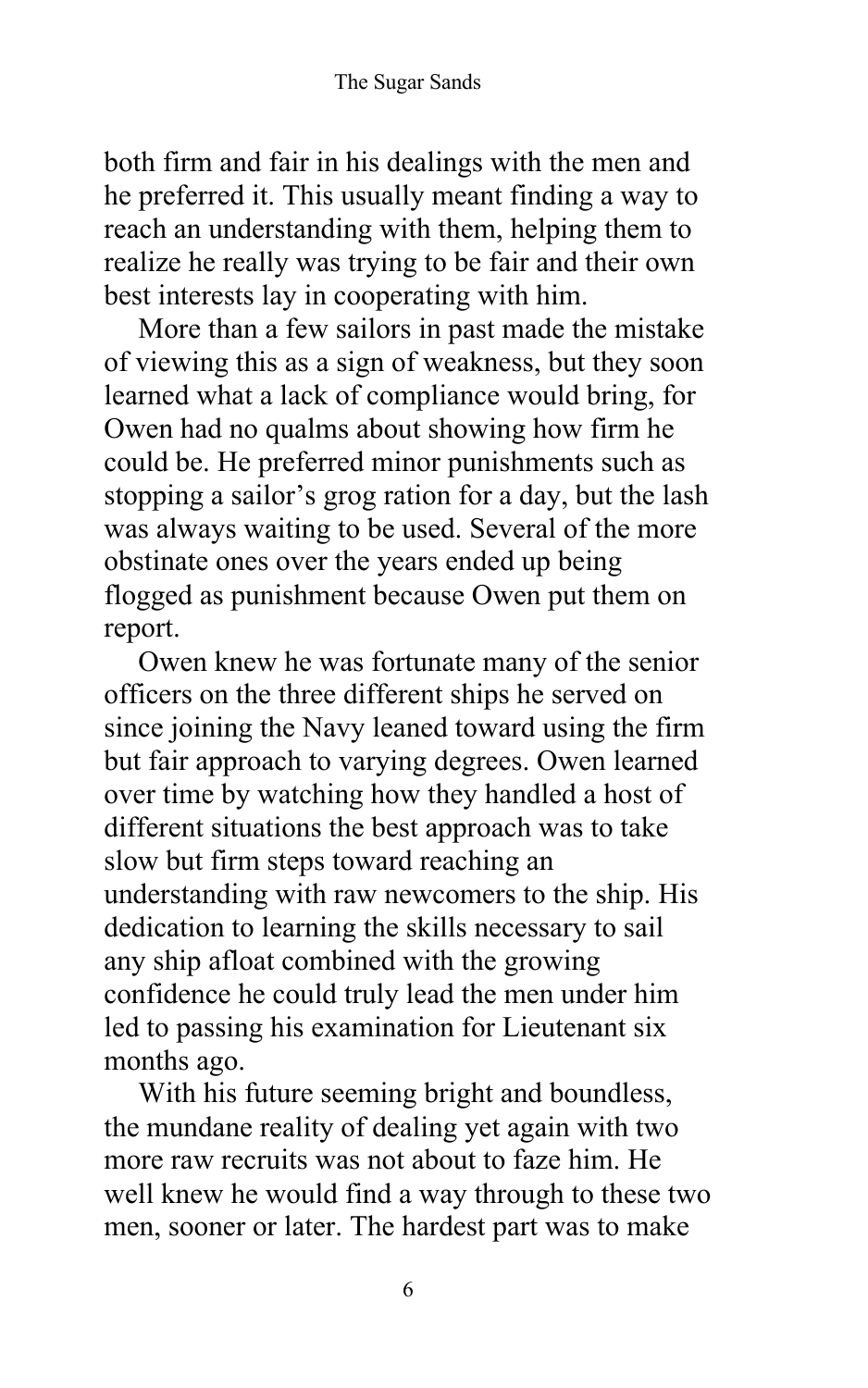both firm and fair in his dealings with the men and he preferred it. This usually meant finding a way to reach an understanding with them, helping them to realize he really was trying to be fair and their own best interests lay in cooperating with him.

More than a few sailors in past made the mistake of viewing this as a sign of weakness, but they soon learned what a lack of compliance would bring, for Owen had no qualms about showing how firm he could be. He preferred minor punishments such as stopping a sailor's grog ration for a day, but the lash was always waiting to be used. Several of the more obstinate ones over the years ended up being flogged as punishment because Owen put them on report.

Owen knew he was fortunate many of the senior officers on the three different ships he served on since joining the Navy leaned toward using the firm but fair approach to varying degrees. Owen learned over time by watching how they handled a host of different situations the best approach was to take slow but firm steps toward reaching an understanding with raw newcomers to the ship. His dedication to learning the skills necessary to sail any ship afloat combined with the growing confidence he could truly lead the men under him led to passing his examination for Lieutenant six months ago.

With his future seeming bright and boundless, the mundane reality of dealing yet again with two more raw recruits was not about to faze him. He well knew he would find a way through to these two men, sooner or later. The hardest part was to make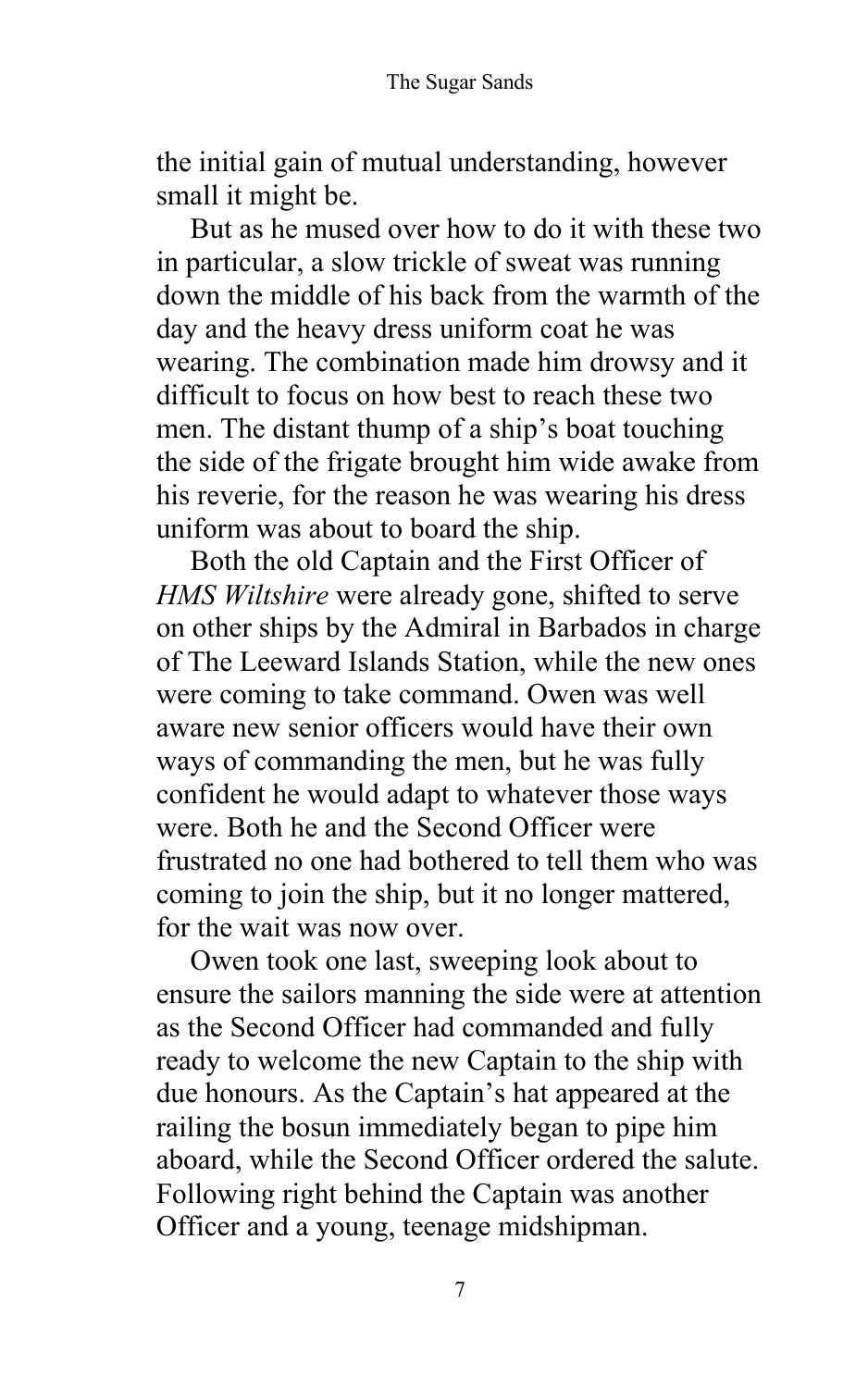the initial gain of mutual understanding, however small it might be.

But as he mused over how to do it with these two in particular, a slow trickle of sweat was running down the middle of his back from the warmth of the day and the heavy dress uniform coat he was wearing. The combination made him drowsy and it difficult to focus on how best to reach these two men. The distant thump of a ship's boat touching the side of the frigate brought him wide awake from his reverie, for the reason he was wearing his dress uniform was about to board the ship.

Both the old Captain and the First Officer of *HMS Wiltshire* were already gone, shifted to serve on other ships by the Admiral in Barbados in charge of The Leeward Islands Station, while the new ones were coming to take command. Owen was well aware new senior officers would have their own ways of commanding the men, but he was fully confident he would adapt to whatever those ways were. Both he and the Second Officer were frustrated no one had bothered to tell them who was coming to join the ship, but it no longer mattered, for the wait was now over.

Owen took one last, sweeping look about to ensure the sailors manning the side were at attention as the Second Officer had commanded and fully ready to welcome the new Captain to the ship with due honours. As the Captain's hat appeared at the railing the bosun immediately began to pipe him aboard, while the Second Officer ordered the salute. Following right behind the Captain was another Officer and a young, teenage midshipman.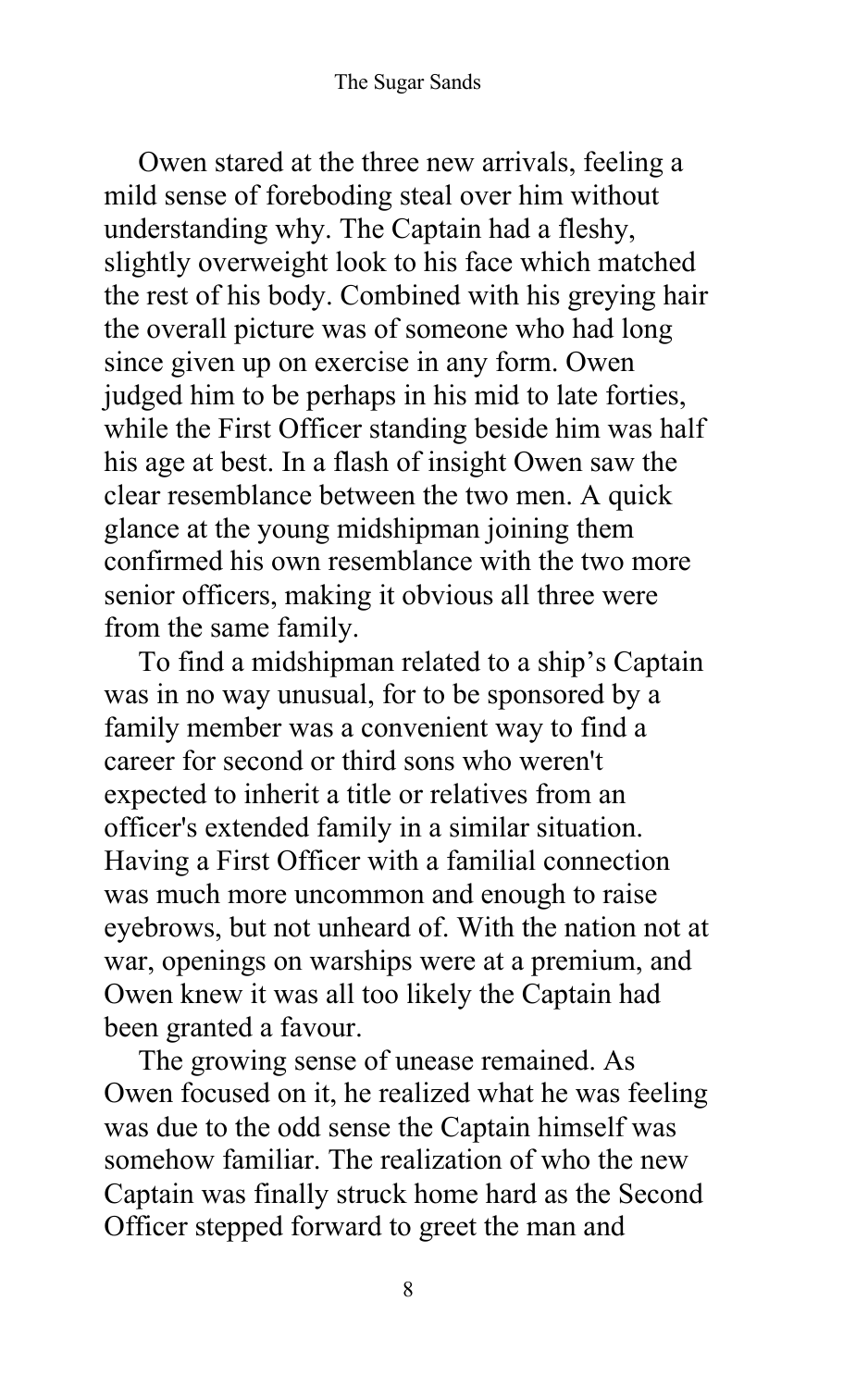Owen stared at the three new arrivals, feeling a mild sense of foreboding steal over him without understanding why. The Captain had a fleshy, slightly overweight look to his face which matched the rest of his body. Combined with his greying hair the overall picture was of someone who had long since given up on exercise in any form. Owen judged him to be perhaps in his mid to late forties, while the First Officer standing beside him was half his age at best. In a flash of insight Owen saw the clear resemblance between the two men. A quick glance at the young midshipman joining them confirmed his own resemblance with the two more senior officers, making it obvious all three were from the same family.

To find a midshipman related to a ship's Captain was in no way unusual, for to be sponsored by a family member was a convenient way to find a career for second or third sons who weren't expected to inherit a title or relatives from an officer's extended family in a similar situation. Having a First Officer with a familial connection was much more uncommon and enough to raise eyebrows, but not unheard of. With the nation not at war, openings on warships were at a premium, and Owen knew it was all too likely the Captain had been granted a favour.

The growing sense of unease remained. As Owen focused on it, he realized what he was feeling was due to the odd sense the Captain himself was somehow familiar. The realization of who the new Captain was finally struck home hard as the Second Officer stepped forward to greet the man and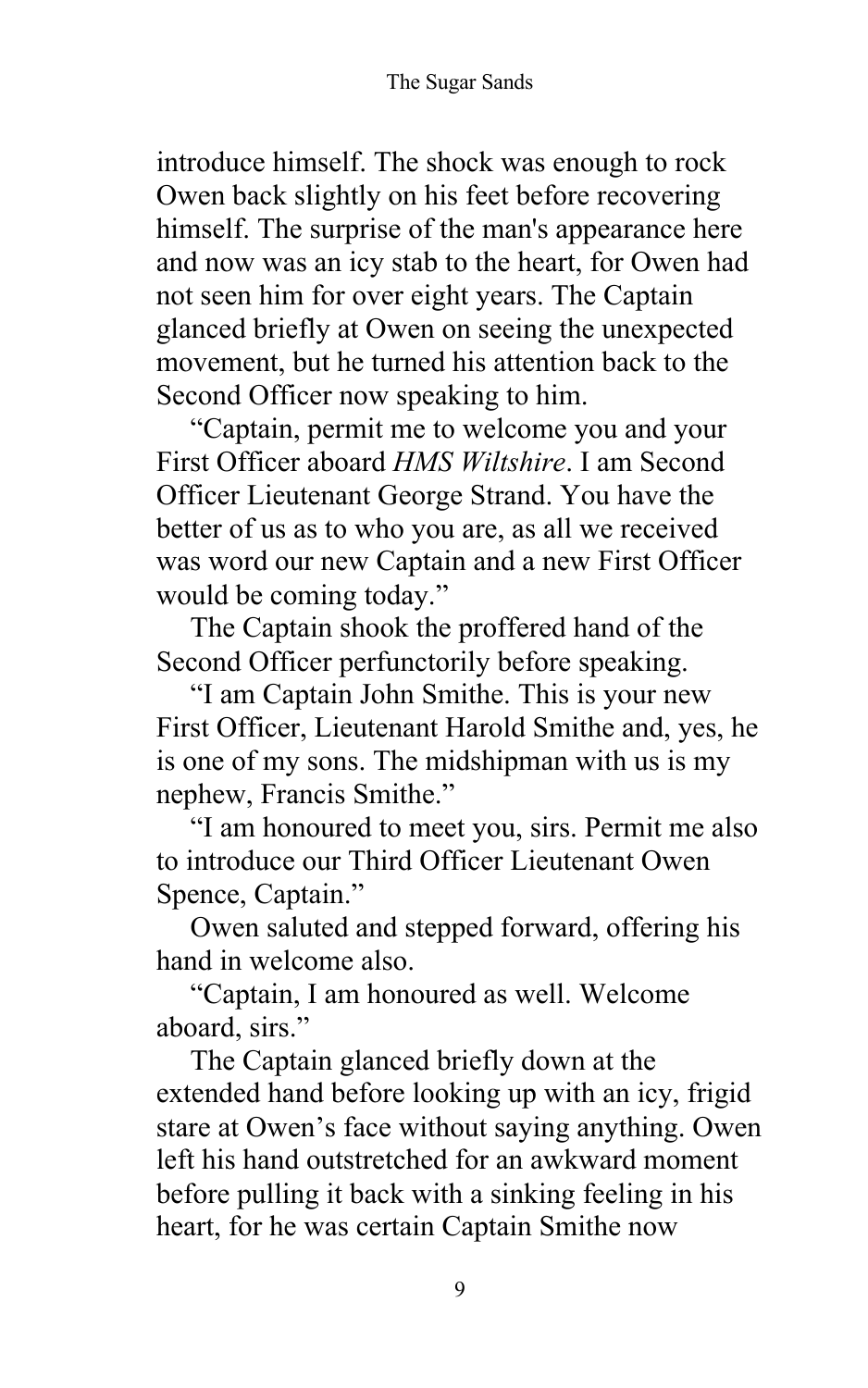introduce himself. The shock was enough to rock Owen back slightly on his feet before recovering himself. The surprise of the man's appearance here and now was an icy stab to the heart, for Owen had not seen him for over eight years. The Captain glanced briefly at Owen on seeing the unexpected movement, but he turned his attention back to the Second Officer now speaking to him.

"Captain, permit me to welcome you and your First Officer aboard *HMS Wiltshire*. I am Second Officer Lieutenant George Strand. You have the better of us as to who you are, as all we received was word our new Captain and a new First Officer would be coming today."

The Captain shook the proffered hand of the Second Officer perfunctorily before speaking.

"I am Captain John Smithe. This is your new First Officer, Lieutenant Harold Smithe and, yes, he is one of my sons. The midshipman with us is my nephew, Francis Smithe."

"I am honoured to meet you, sirs. Permit me also to introduce our Third Officer Lieutenant Owen Spence, Captain."

Owen saluted and stepped forward, offering his hand in welcome also.

"Captain, I am honoured as well. Welcome aboard, sirs."

The Captain glanced briefly down at the extended hand before looking up with an icy, frigid stare at Owen's face without saying anything. Owen left his hand outstretched for an awkward moment before pulling it back with a sinking feeling in his heart, for he was certain Captain Smithe now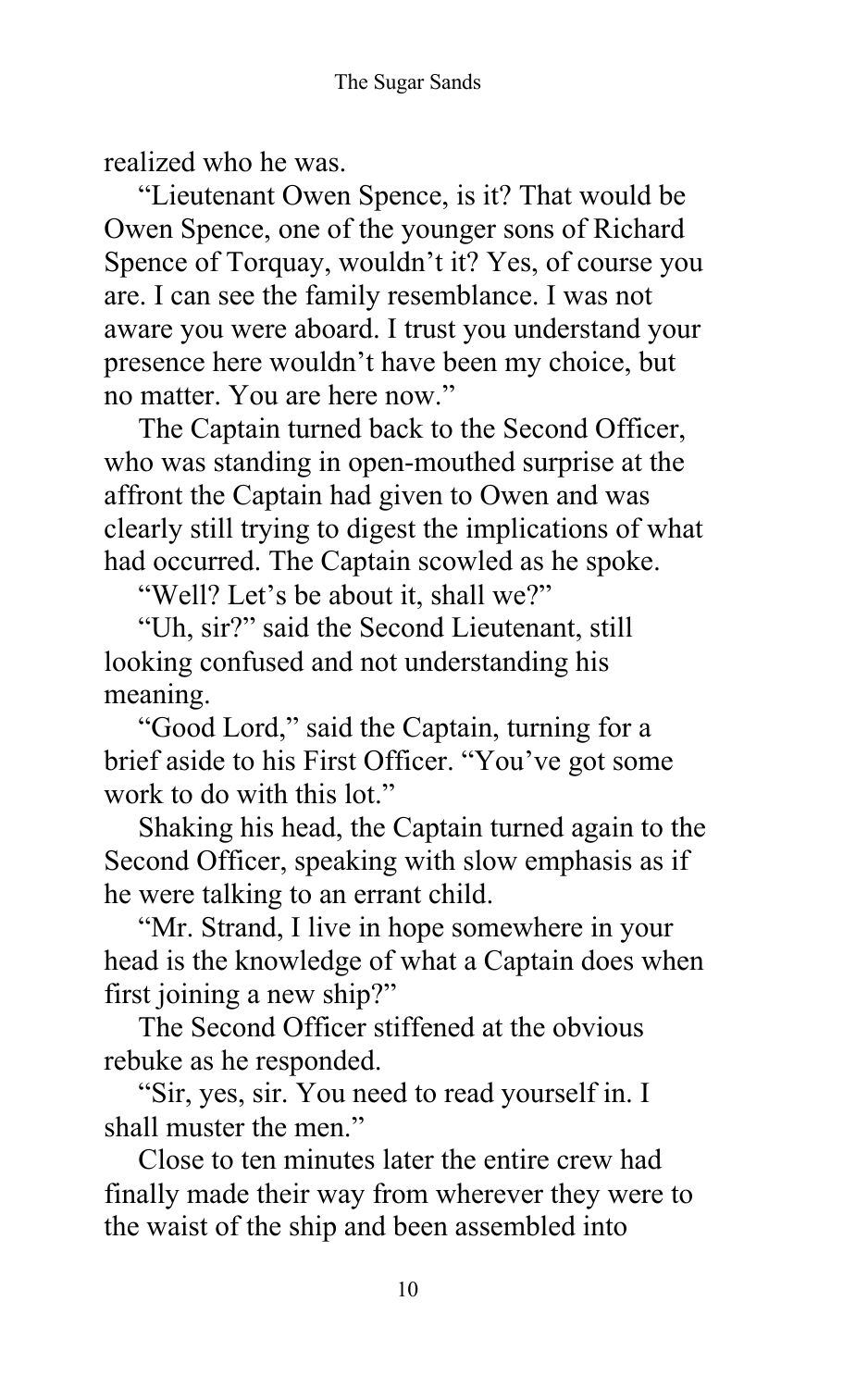realized who he was.

"Lieutenant Owen Spence, is it? That would be Owen Spence, one of the younger sons of Richard Spence of Torquay, wouldn't it? Yes, of course you are. I can see the family resemblance. I was not aware you were aboard. I trust you understand your presence here wouldn't have been my choice, but no matter. You are here now."

The Captain turned back to the Second Officer, who was standing in open-mouthed surprise at the affront the Captain had given to Owen and was clearly still trying to digest the implications of what had occurred. The Captain scowled as he spoke.

"Well? Let's be about it, shall we?"

"Uh, sir?" said the Second Lieutenant, still looking confused and not understanding his meaning.

"Good Lord," said the Captain, turning for a brief aside to his First Officer. "You've got some work to do with this lot."

Shaking his head, the Captain turned again to the Second Officer, speaking with slow emphasis as if he were talking to an errant child.

"Mr. Strand, I live in hope somewhere in your head is the knowledge of what a Captain does when first joining a new ship?"

The Second Officer stiffened at the obvious rebuke as he responded.

"Sir, yes, sir. You need to read yourself in. I shall muster the men."

Close to ten minutes later the entire crew had finally made their way from wherever they were to the waist of the ship and been assembled into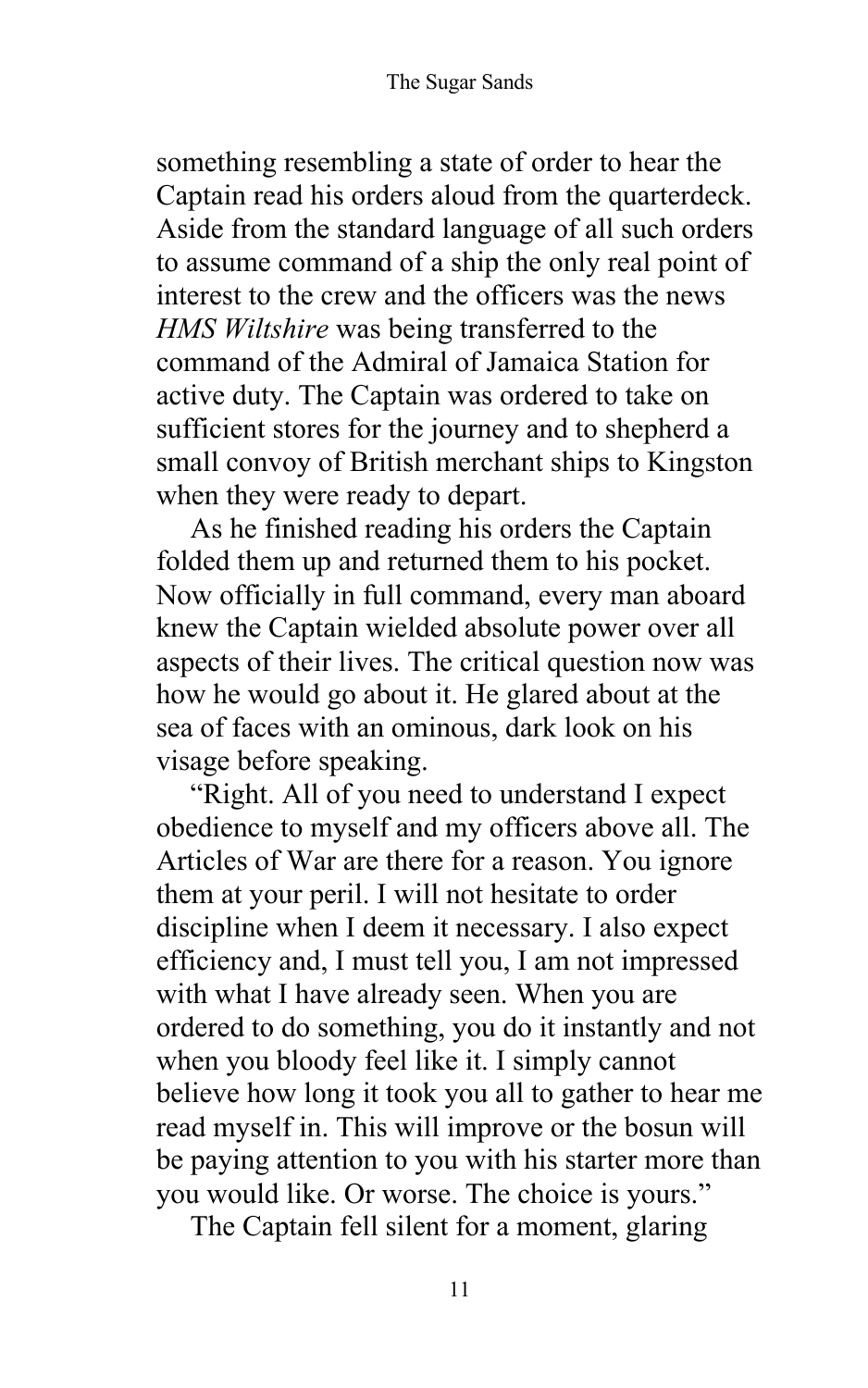something resembling a state of order to hear the Captain read his orders aloud from the quarterdeck. Aside from the standard language of all such orders to assume command of a ship the only real point of interest to the crew and the officers was the news *HMS Wiltshire* was being transferred to the command of the Admiral of Jamaica Station for active duty. The Captain was ordered to take on sufficient stores for the journey and to shepherd a small convoy of British merchant ships to Kingston when they were ready to depart.

As he finished reading his orders the Captain folded them up and returned them to his pocket. Now officially in full command, every man aboard knew the Captain wielded absolute power over all aspects of their lives. The critical question now was how he would go about it. He glared about at the sea of faces with an ominous, dark look on his visage before speaking.

"Right. All of you need to understand I expect obedience to myself and my officers above all. The Articles of War are there for a reason. You ignore them at your peril. I will not hesitate to order discipline when I deem it necessary. I also expect efficiency and, I must tell you, I am not impressed with what I have already seen. When you are ordered to do something, you do it instantly and not when you bloody feel like it. I simply cannot believe how long it took you all to gather to hear me read myself in. This will improve or the bosun will be paying attention to you with his starter more than you would like. Or worse. The choice is yours."

The Captain fell silent for a moment, glaring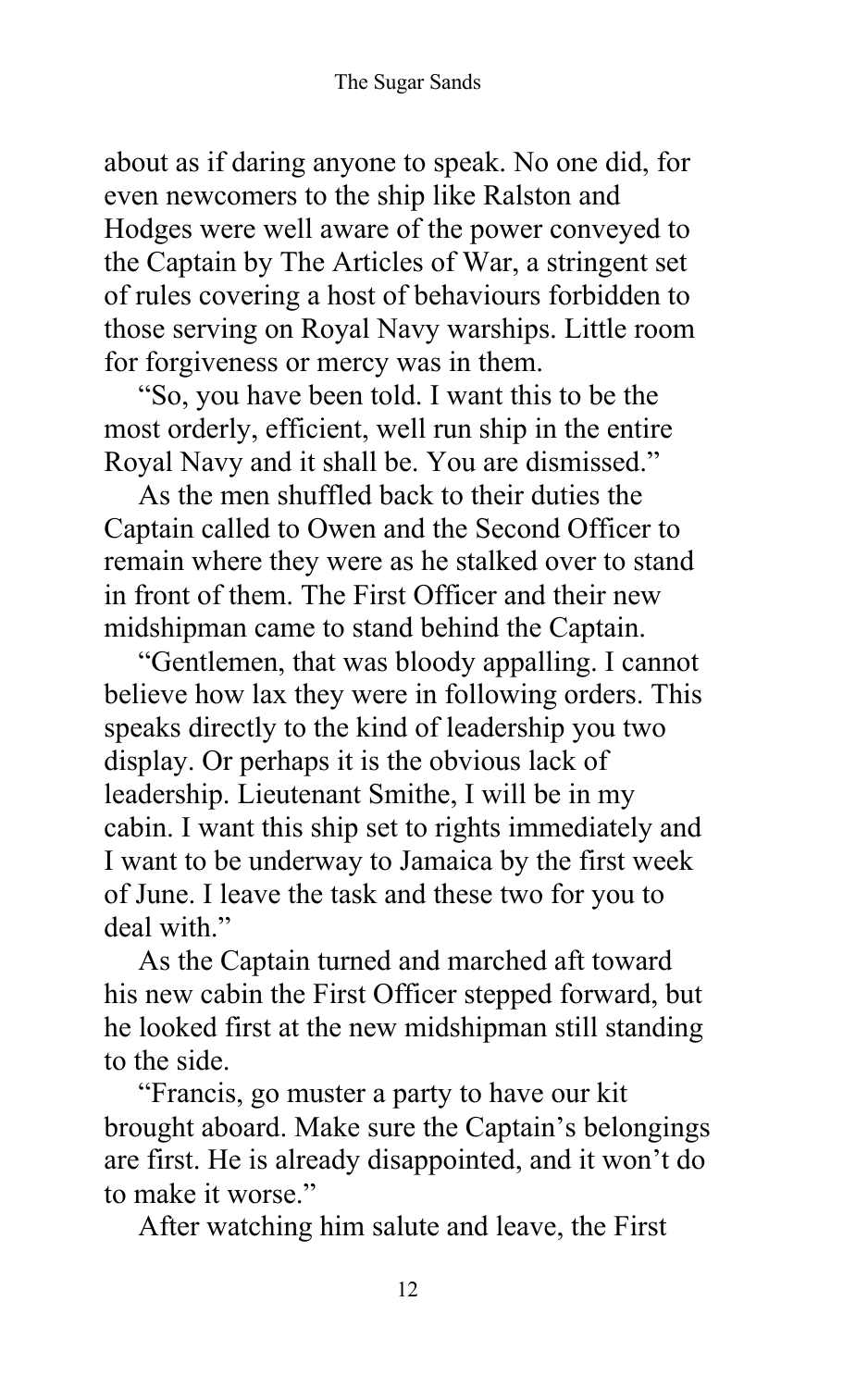about as if daring anyone to speak. No one did, for even newcomers to the ship like Ralston and Hodges were well aware of the power conveyed to the Captain by The Articles of War, a stringent set of rules covering a host of behaviours forbidden to those serving on Royal Navy warships. Little room for forgiveness or mercy was in them.

"So, you have been told. I want this to be the most orderly, efficient, well run ship in the entire Royal Navy and it shall be. You are dismissed."

As the men shuffled back to their duties the Captain called to Owen and the Second Officer to remain where they were as he stalked over to stand in front of them. The First Officer and their new midshipman came to stand behind the Captain.

"Gentlemen, that was bloody appalling. I cannot believe how lax they were in following orders. This speaks directly to the kind of leadership you two display. Or perhaps it is the obvious lack of leadership. Lieutenant Smithe, I will be in my cabin. I want this ship set to rights immediately and I want to be underway to Jamaica by the first week of June. I leave the task and these two for you to deal with."

As the Captain turned and marched aft toward his new cabin the First Officer stepped forward, but he looked first at the new midshipman still standing to the side.

"Francis, go muster a party to have our kit brought aboard. Make sure the Captain's belongings are first. He is already disappointed, and it won't do to make it worse."

After watching him salute and leave, the First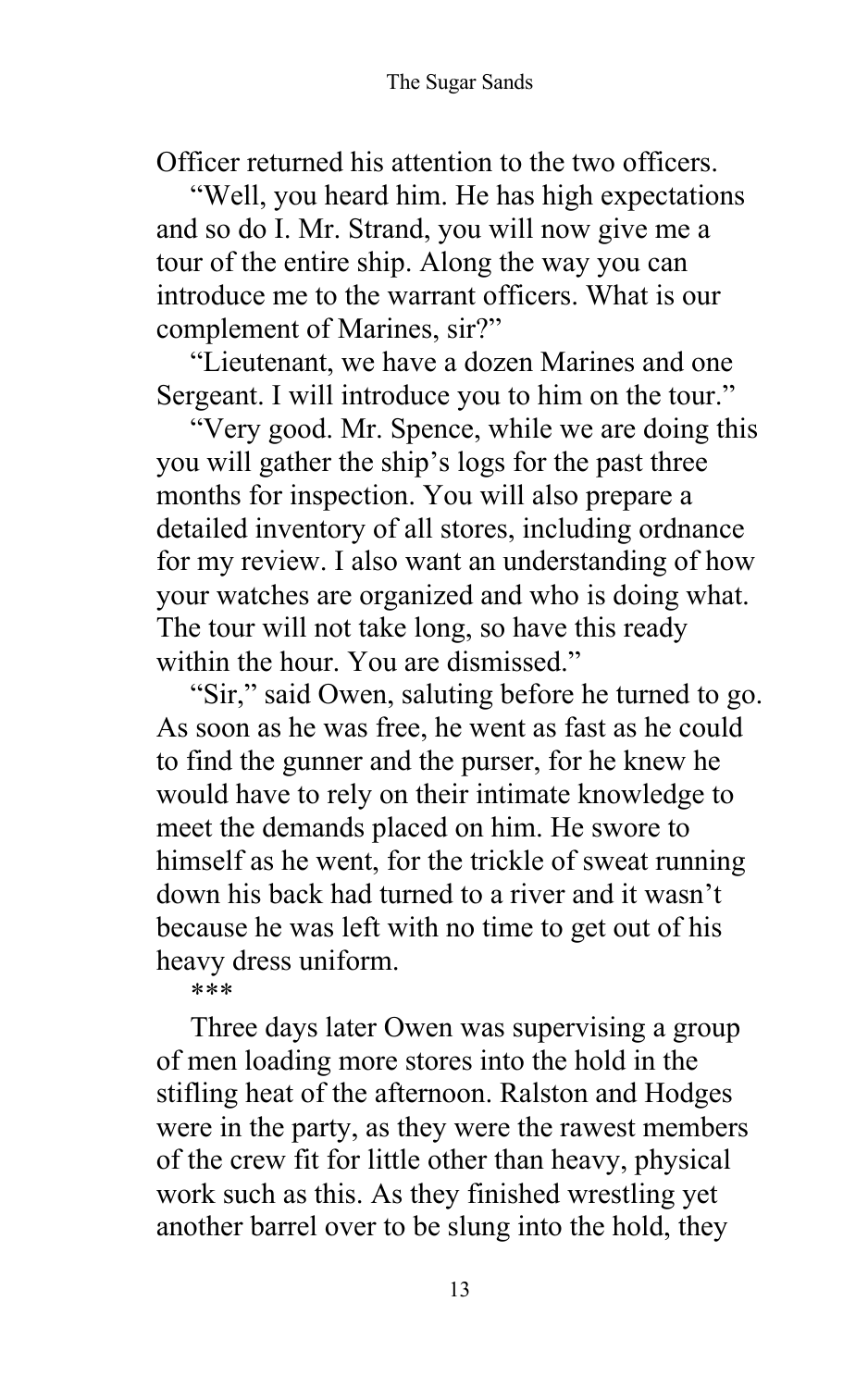Officer returned his attention to the two officers.

"Well, you heard him. He has high expectations and so do I. Mr. Strand, you will now give me a tour of the entire ship. Along the way you can introduce me to the warrant officers. What is our complement of Marines, sir?"

"Lieutenant, we have a dozen Marines and one Sergeant. I will introduce you to him on the tour."

"Very good. Mr. Spence, while we are doing this you will gather the ship's logs for the past three months for inspection. You will also prepare a detailed inventory of all stores, including ordnance for my review. I also want an understanding of how your watches are organized and who is doing what. The tour will not take long, so have this ready within the hour. You are dismissed."

"Sir," said Owen, saluting before he turned to go. As soon as he was free, he went as fast as he could to find the gunner and the purser, for he knew he would have to rely on their intimate knowledge to meet the demands placed on him. He swore to himself as he went, for the trickle of sweat running down his back had turned to a river and it wasn't because he was left with no time to get out of his heavy dress uniform.

\*\*\*

Three days later Owen was supervising a group of men loading more stores into the hold in the stifling heat of the afternoon. Ralston and Hodges were in the party, as they were the rawest members of the crew fit for little other than heavy, physical work such as this. As they finished wrestling yet another barrel over to be slung into the hold, they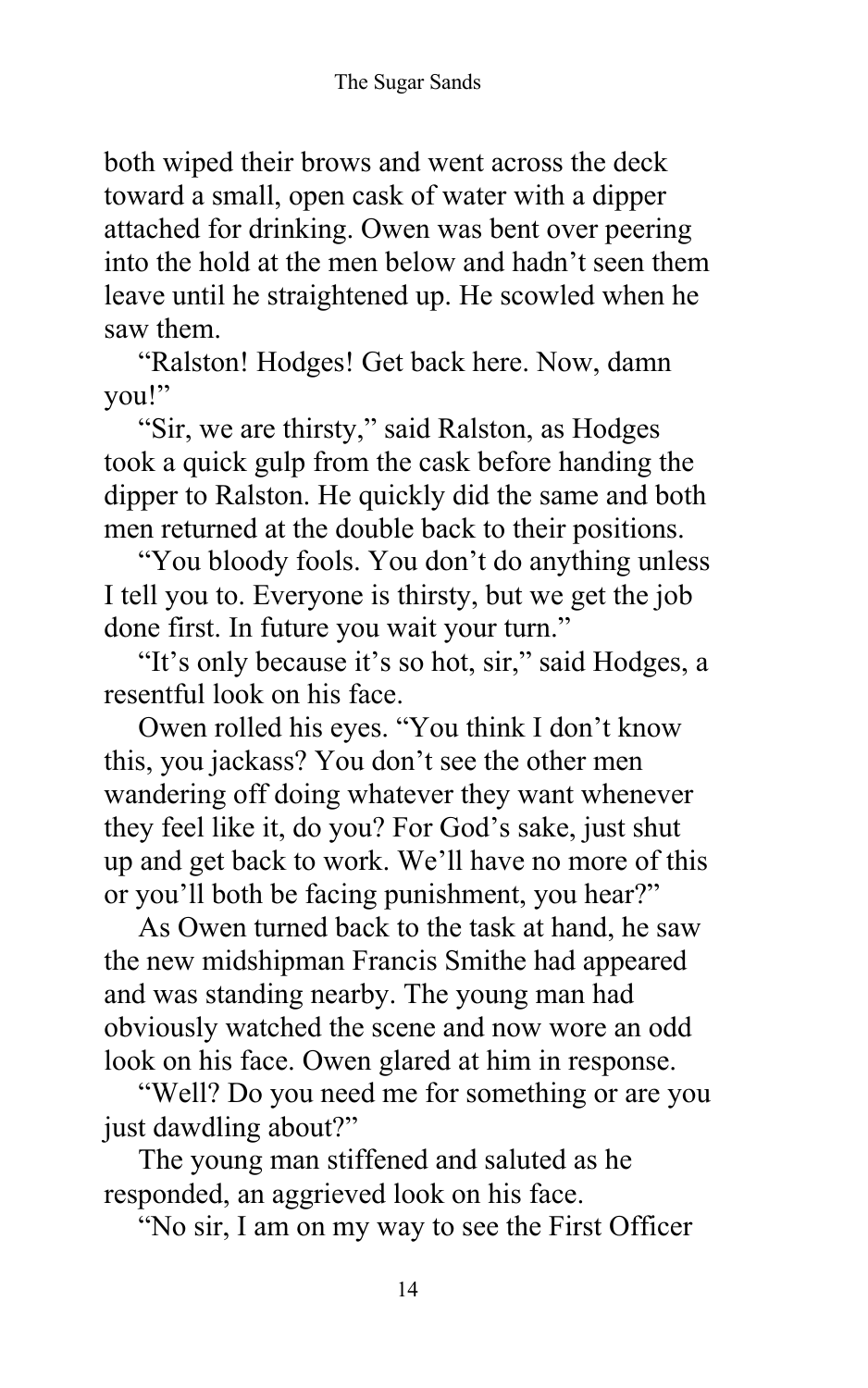both wiped their brows and went across the deck toward a small, open cask of water with a dipper attached for drinking. Owen was bent over peering into the hold at the men below and hadn't seen them leave until he straightened up. He scowled when he saw them.

"Ralston! Hodges! Get back here. Now, damn you!"

"Sir, we are thirsty," said Ralston, as Hodges took a quick gulp from the cask before handing the dipper to Ralston. He quickly did the same and both men returned at the double back to their positions.

"You bloody fools. You don't do anything unless I tell you to. Everyone is thirsty, but we get the job done first. In future you wait your turn."

"It's only because it's so hot, sir," said Hodges, a resentful look on his face.

Owen rolled his eyes. "You think I don't know this, you jackass? You don't see the other men wandering off doing whatever they want whenever they feel like it, do you? For God's sake, just shut up and get back to work. We'll have no more of this or you'll both be facing punishment, you hear?"

As Owen turned back to the task at hand, he saw the new midshipman Francis Smithe had appeared and was standing nearby. The young man had obviously watched the scene and now wore an odd look on his face. Owen glared at him in response.

"Well? Do you need me for something or are you just dawdling about?"

The young man stiffened and saluted as he responded, an aggrieved look on his face.

"No sir, I am on my way to see the First Officer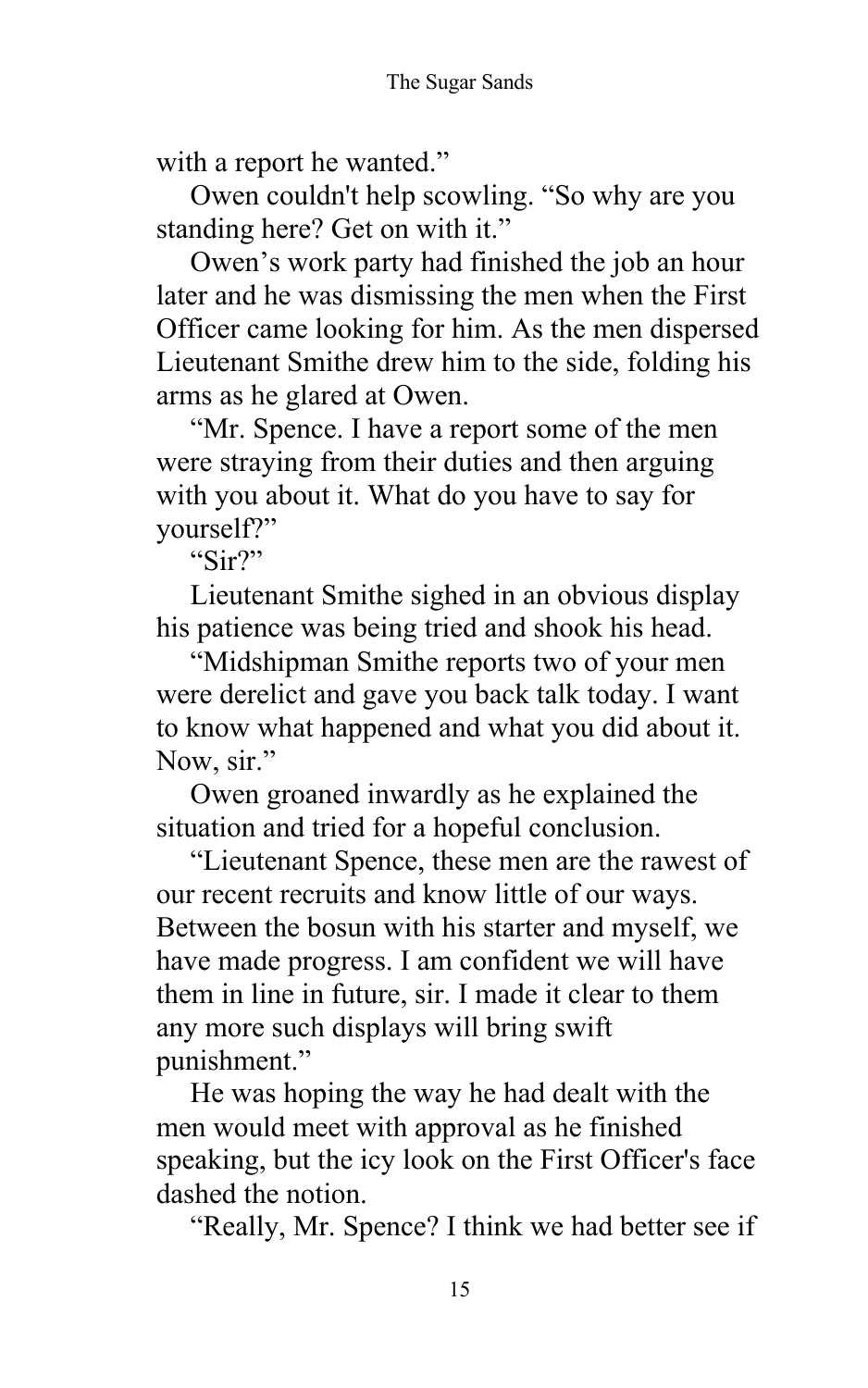with a report he wanted."

Owen couldn't help scowling. "So why are you standing here? Get on with it."

Owen's work party had finished the job an hour later and he was dismissing the men when the First Officer came looking for him. As the men dispersed Lieutenant Smithe drew him to the side, folding his arms as he glared at Owen.

"Mr. Spence. I have a report some of the men were straying from their duties and then arguing with you about it. What do you have to say for yourself?"

"Sir?"

Lieutenant Smithe sighed in an obvious display his patience was being tried and shook his head.

"Midshipman Smithe reports two of your men were derelict and gave you back talk today. I want to know what happened and what you did about it. Now, sir."

Owen groaned inwardly as he explained the situation and tried for a hopeful conclusion.

"Lieutenant Spence, these men are the rawest of our recent recruits and know little of our ways. Between the bosun with his starter and myself, we have made progress. I am confident we will have them in line in future, sir. I made it clear to them any more such displays will bring swift punishment."

He was hoping the way he had dealt with the men would meet with approval as he finished speaking, but the icy look on the First Officer's face dashed the notion.

"Really, Mr. Spence? I think we had better see if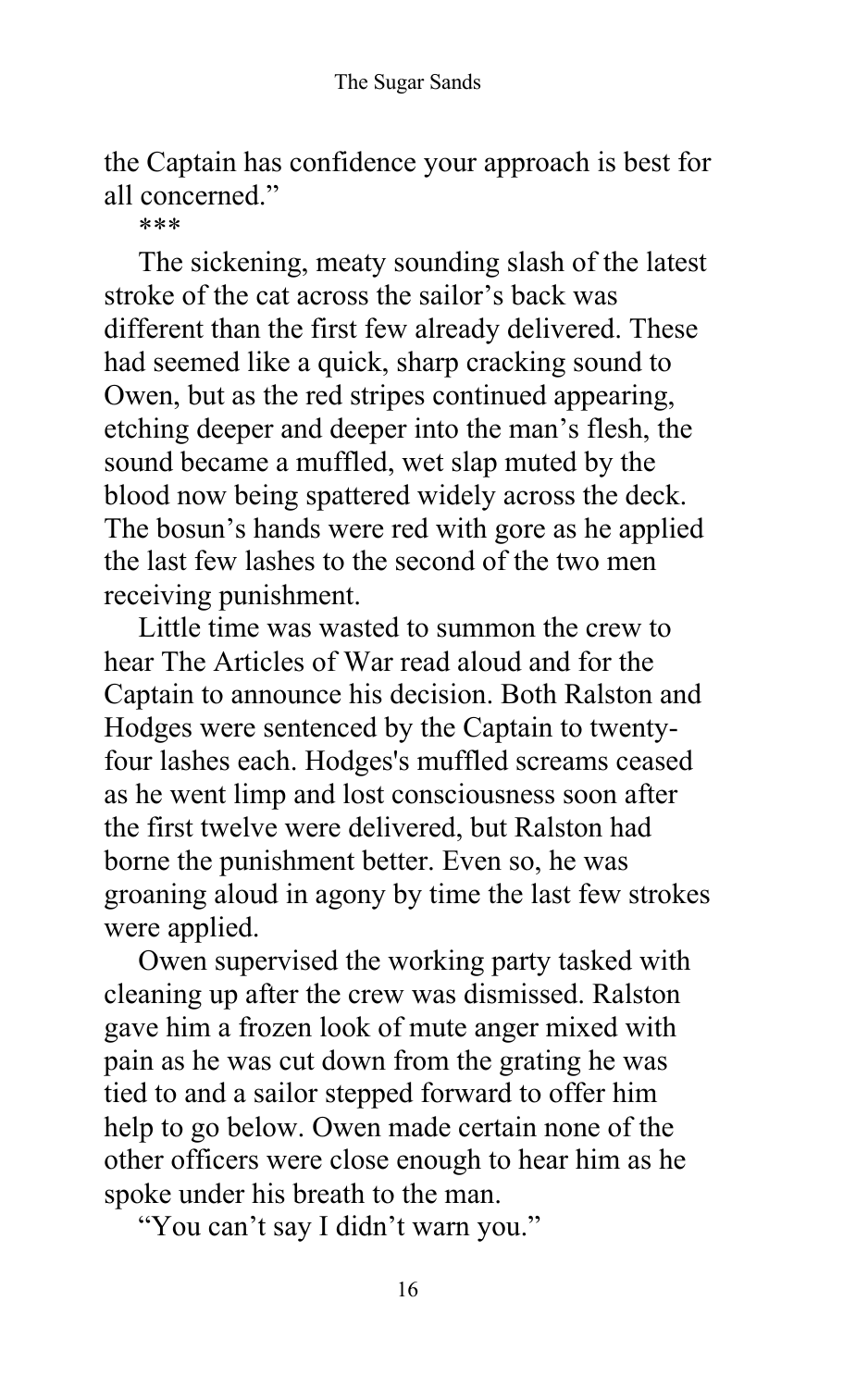the Captain has confidence your approach is best for all concerned."

\*\*\*

The sickening, meaty sounding slash of the latest stroke of the cat across the sailor's back was different than the first few already delivered. These had seemed like a quick, sharp cracking sound to Owen, but as the red stripes continued appearing, etching deeper and deeper into the man's flesh, the sound became a muffled, wet slap muted by the blood now being spattered widely across the deck. The bosun's hands were red with gore as he applied the last few lashes to the second of the two men receiving punishment.

Little time was wasted to summon the crew to hear The Articles of War read aloud and for the Captain to announce his decision. Both Ralston and Hodges were sentenced by the Captain to twentyfour lashes each. Hodges's muffled screams ceased as he went limp and lost consciousness soon after the first twelve were delivered, but Ralston had borne the punishment better. Even so, he was groaning aloud in agony by time the last few strokes were applied.

Owen supervised the working party tasked with cleaning up after the crew was dismissed. Ralston gave him a frozen look of mute anger mixed with pain as he was cut down from the grating he was tied to and a sailor stepped forward to offer him help to go below. Owen made certain none of the other officers were close enough to hear him as he spoke under his breath to the man.

"You can't say I didn't warn you."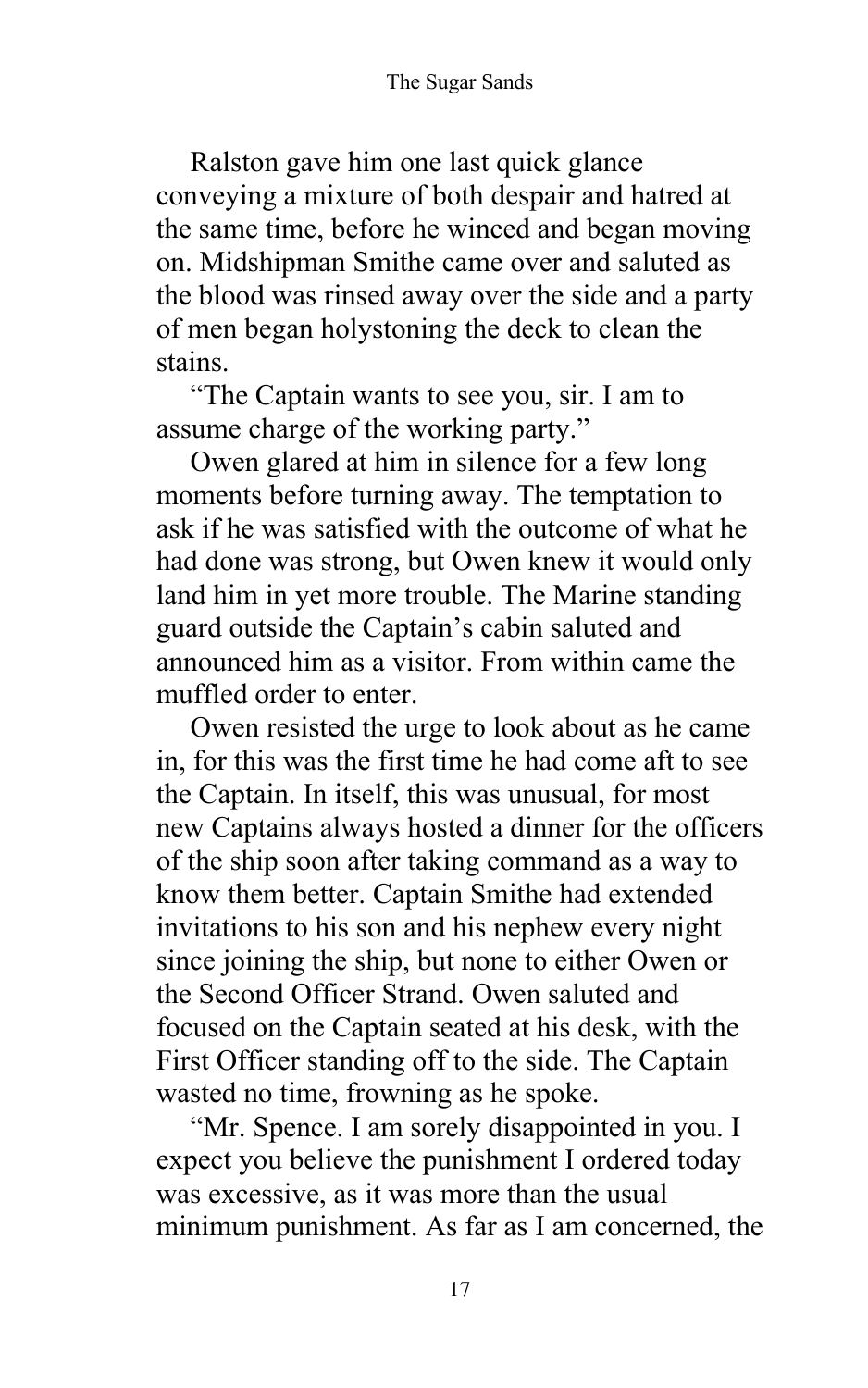Ralston gave him one last quick glance conveying a mixture of both despair and hatred at the same time, before he winced and began moving on. Midshipman Smithe came over and saluted as the blood was rinsed away over the side and a party of men began holystoning the deck to clean the stains.

"The Captain wants to see you, sir. I am to assume charge of the working party."

Owen glared at him in silence for a few long moments before turning away. The temptation to ask if he was satisfied with the outcome of what he had done was strong, but Owen knew it would only land him in yet more trouble. The Marine standing guard outside the Captain's cabin saluted and announced him as a visitor. From within came the muffled order to enter.

Owen resisted the urge to look about as he came in, for this was the first time he had come aft to see the Captain. In itself, this was unusual, for most new Captains always hosted a dinner for the officers of the ship soon after taking command as a way to know them better. Captain Smithe had extended invitations to his son and his nephew every night since joining the ship, but none to either Owen or the Second Officer Strand. Owen saluted and focused on the Captain seated at his desk, with the First Officer standing off to the side. The Captain wasted no time, frowning as he spoke.

"Mr. Spence. I am sorely disappointed in you. I expect you believe the punishment I ordered today was excessive, as it was more than the usual minimum punishment. As far as I am concerned, the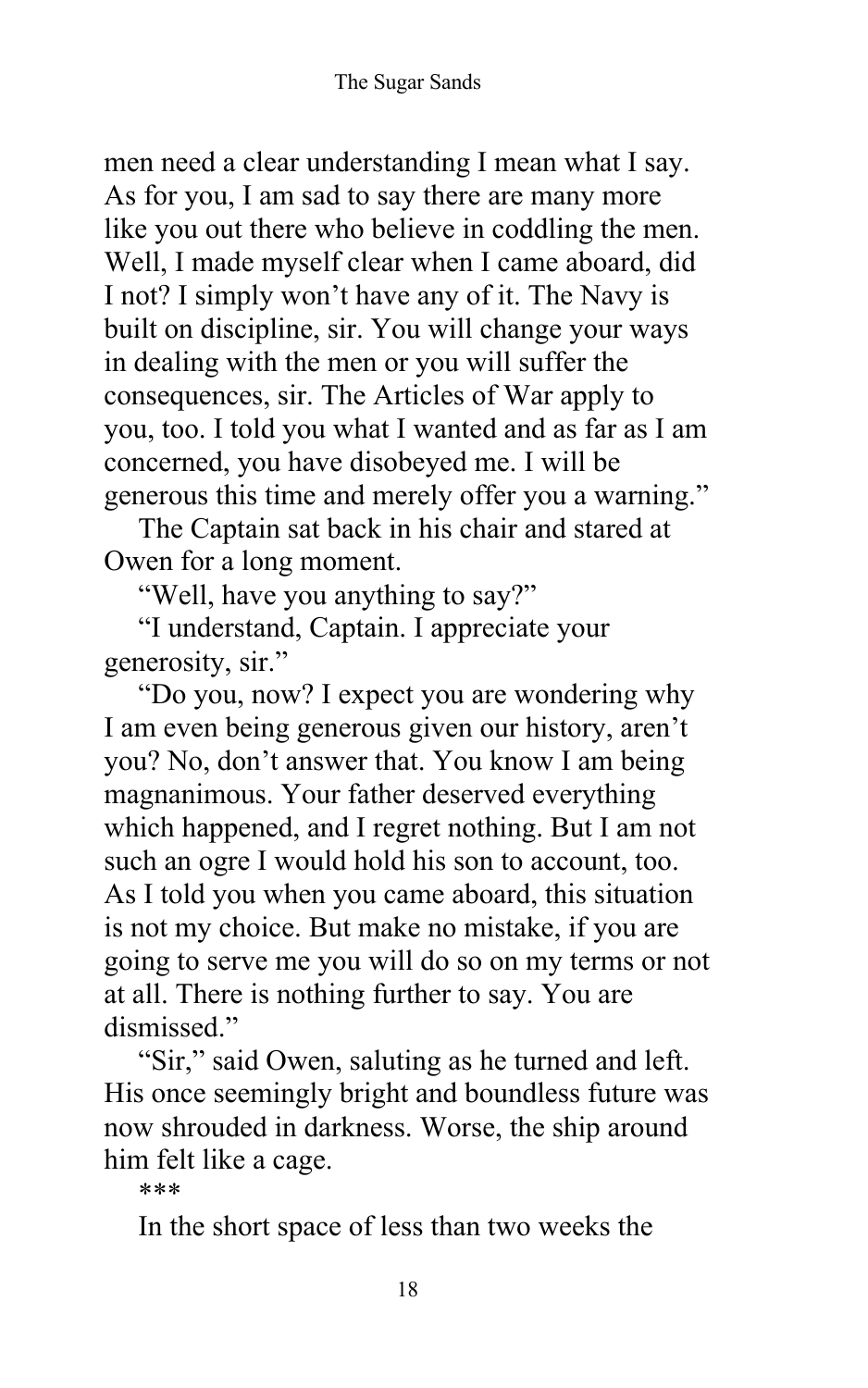men need a clear understanding I mean what I say. As for you, I am sad to say there are many more like you out there who believe in coddling the men. Well, I made myself clear when I came aboard, did I not? I simply won't have any of it. The Navy is built on discipline, sir. You will change your ways in dealing with the men or you will suffer the consequences, sir. The Articles of War apply to you, too. I told you what I wanted and as far as I am concerned, you have disobeyed me. I will be generous this time and merely offer you a warning."

The Captain sat back in his chair and stared at Owen for a long moment.

"Well, have you anything to say?"

"I understand, Captain. I appreciate your generosity, sir."

"Do you, now? I expect you are wondering why I am even being generous given our history, aren't you? No, don't answer that. You know I am being magnanimous. Your father deserved everything which happened, and I regret nothing. But I am not such an ogre I would hold his son to account, too. As I told you when you came aboard, this situation is not my choice. But make no mistake, if you are going to serve me you will do so on my terms or not at all. There is nothing further to say. You are dismissed."

"Sir," said Owen, saluting as he turned and left. His once seemingly bright and boundless future was now shrouded in darkness. Worse, the ship around him felt like a cage.

\*\*\*

In the short space of less than two weeks the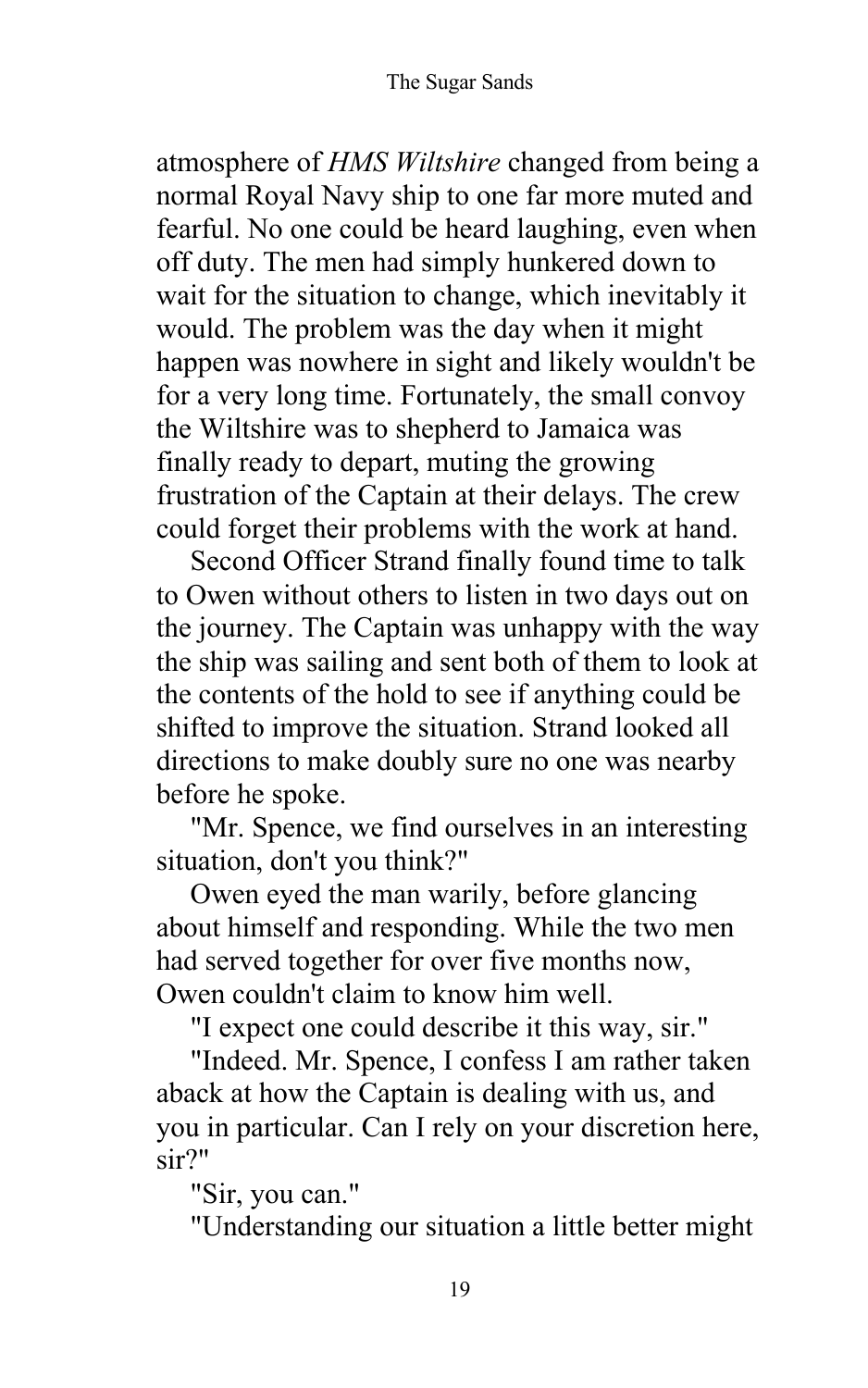atmosphere of *HMS Wiltshire* changed from being a normal Royal Navy ship to one far more muted and fearful. No one could be heard laughing, even when off duty. The men had simply hunkered down to wait for the situation to change, which inevitably it would. The problem was the day when it might happen was nowhere in sight and likely wouldn't be for a very long time. Fortunately, the small convoy the Wiltshire was to shepherd to Jamaica was finally ready to depart, muting the growing frustration of the Captain at their delays. The crew could forget their problems with the work at hand.

Second Officer Strand finally found time to talk to Owen without others to listen in two days out on the journey. The Captain was unhappy with the way the ship was sailing and sent both of them to look at the contents of the hold to see if anything could be shifted to improve the situation. Strand looked all directions to make doubly sure no one was nearby before he spoke.

"Mr. Spence, we find ourselves in an interesting situation, don't you think?"

Owen eyed the man warily, before glancing about himself and responding. While the two men had served together for over five months now, Owen couldn't claim to know him well.

"I expect one could describe it this way, sir."

"Indeed. Mr. Spence, I confess I am rather taken aback at how the Captain is dealing with us, and you in particular. Can I rely on your discretion here, sir?"

"Sir, you can."

"Understanding our situation a little better might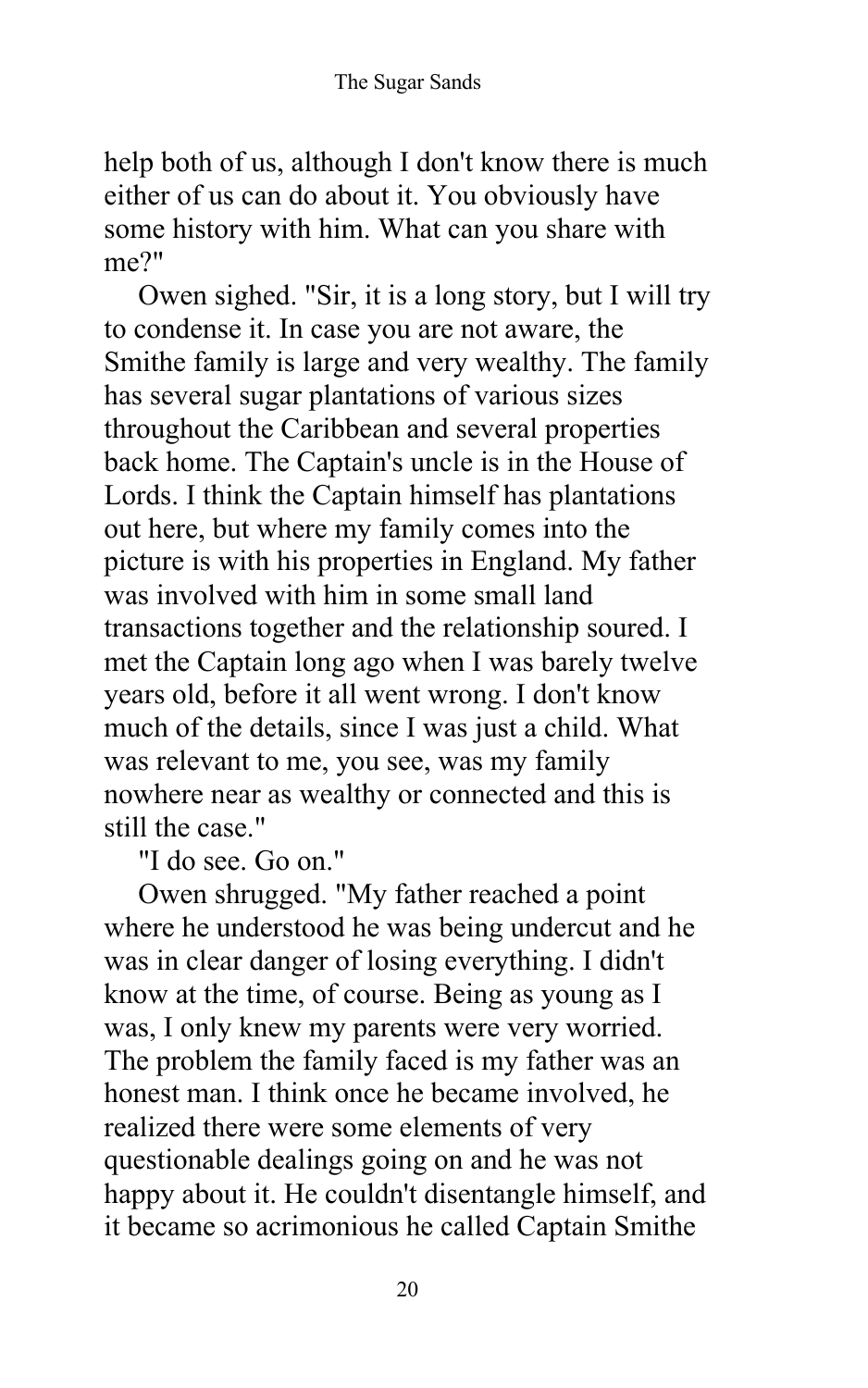help both of us, although I don't know there is much either of us can do about it. You obviously have some history with him. What can you share with me?"

Owen sighed. "Sir, it is a long story, but I will try to condense it. In case you are not aware, the Smithe family is large and very wealthy. The family has several sugar plantations of various sizes throughout the Caribbean and several properties back home. The Captain's uncle is in the House of Lords. I think the Captain himself has plantations out here, but where my family comes into the picture is with his properties in England. My father was involved with him in some small land transactions together and the relationship soured. I met the Captain long ago when I was barely twelve years old, before it all went wrong. I don't know much of the details, since I was just a child. What was relevant to me, you see, was my family nowhere near as wealthy or connected and this is still the case."

"I do see. Go on."

Owen shrugged. "My father reached a point where he understood he was being undercut and he was in clear danger of losing everything. I didn't know at the time, of course. Being as young as I was, I only knew my parents were very worried. The problem the family faced is my father was an honest man. I think once he became involved, he realized there were some elements of very questionable dealings going on and he was not happy about it. He couldn't disentangle himself, and it became so acrimonious he called Captain Smithe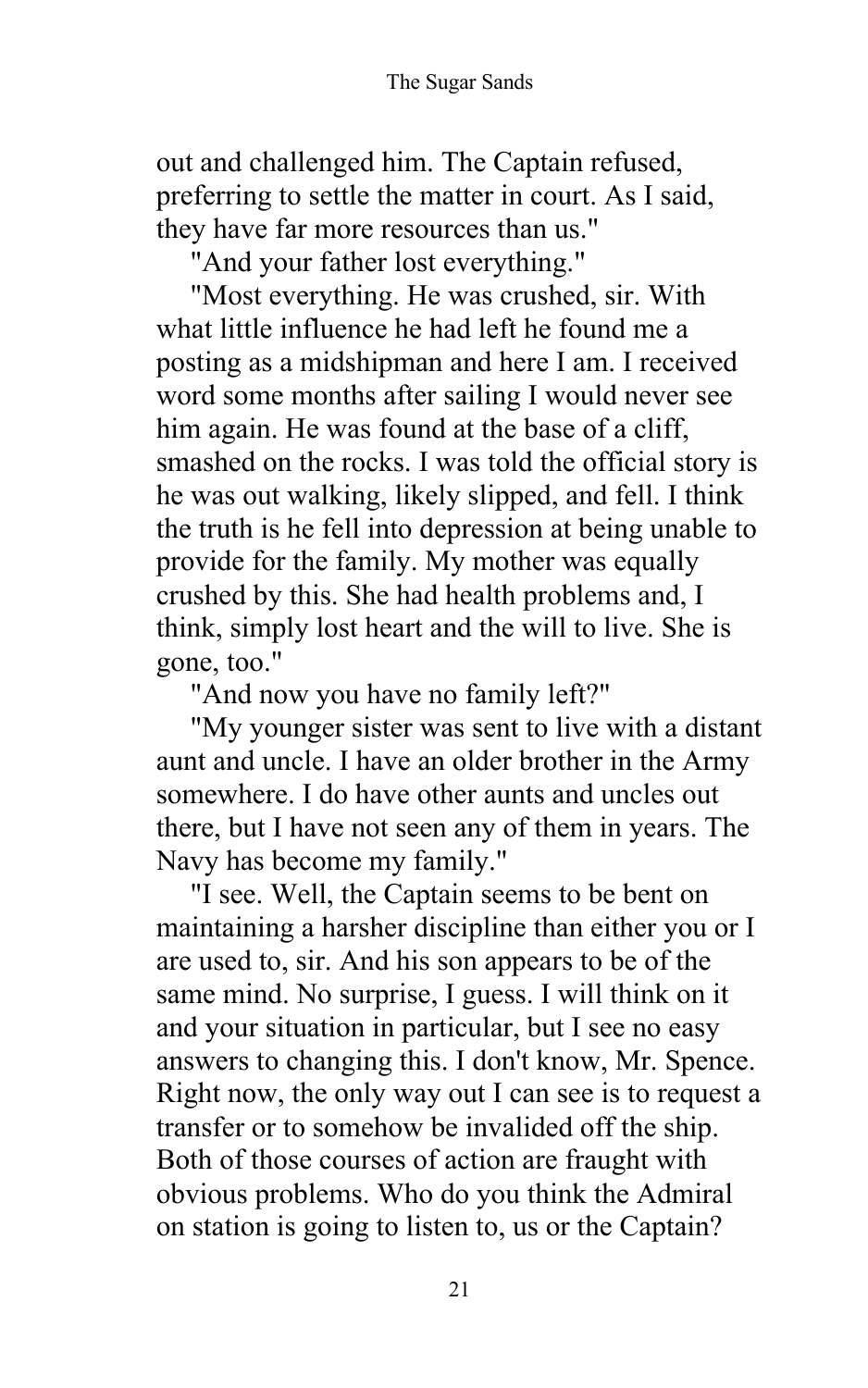out and challenged him. The Captain refused, preferring to settle the matter in court. As I said, they have far more resources than us."

"And your father lost everything."

"Most everything. He was crushed, sir. With what little influence he had left he found me a posting as a midshipman and here I am. I received word some months after sailing I would never see him again. He was found at the base of a cliff, smashed on the rocks. I was told the official story is he was out walking, likely slipped, and fell. I think the truth is he fell into depression at being unable to provide for the family. My mother was equally crushed by this. She had health problems and, I think, simply lost heart and the will to live. She is gone, too."

"And now you have no family left?"

"My younger sister was sent to live with a distant aunt and uncle. I have an older brother in the Army somewhere. I do have other aunts and uncles out there, but I have not seen any of them in years. The Navy has become my family."

"I see. Well, the Captain seems to be bent on maintaining a harsher discipline than either you or I are used to, sir. And his son appears to be of the same mind. No surprise, I guess. I will think on it and your situation in particular, but I see no easy answers to changing this. I don't know, Mr. Spence. Right now, the only way out I can see is to request a transfer or to somehow be invalided off the ship. Both of those courses of action are fraught with obvious problems. Who do you think the Admiral on station is going to listen to, us or the Captain?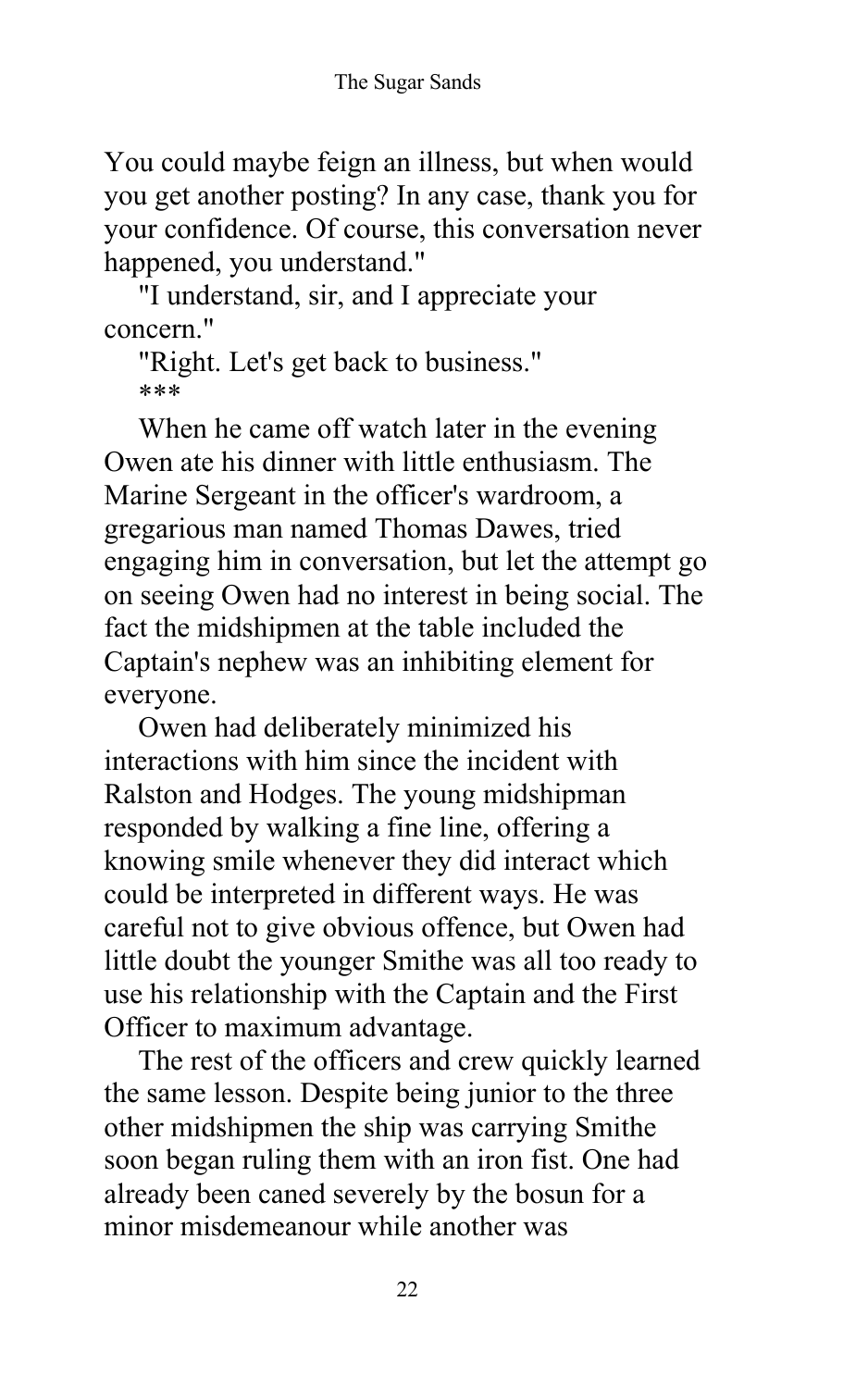You could maybe feign an illness, but when would you get another posting? In any case, thank you for your confidence. Of course, this conversation never happened, you understand."

"I understand, sir, and I appreciate your concern."

"Right. Let's get back to business." \*\*\*

When he came off watch later in the evening Owen ate his dinner with little enthusiasm. The Marine Sergeant in the officer's wardroom, a gregarious man named Thomas Dawes, tried engaging him in conversation, but let the attempt go on seeing Owen had no interest in being social. The fact the midshipmen at the table included the Captain's nephew was an inhibiting element for everyone.

Owen had deliberately minimized his interactions with him since the incident with Ralston and Hodges. The young midshipman responded by walking a fine line, offering a knowing smile whenever they did interact which could be interpreted in different ways. He was careful not to give obvious offence, but Owen had little doubt the younger Smithe was all too ready to use his relationship with the Captain and the First Officer to maximum advantage.

The rest of the officers and crew quickly learned the same lesson. Despite being junior to the three other midshipmen the ship was carrying Smithe soon began ruling them with an iron fist. One had already been caned severely by the bosun for a minor misdemeanour while another was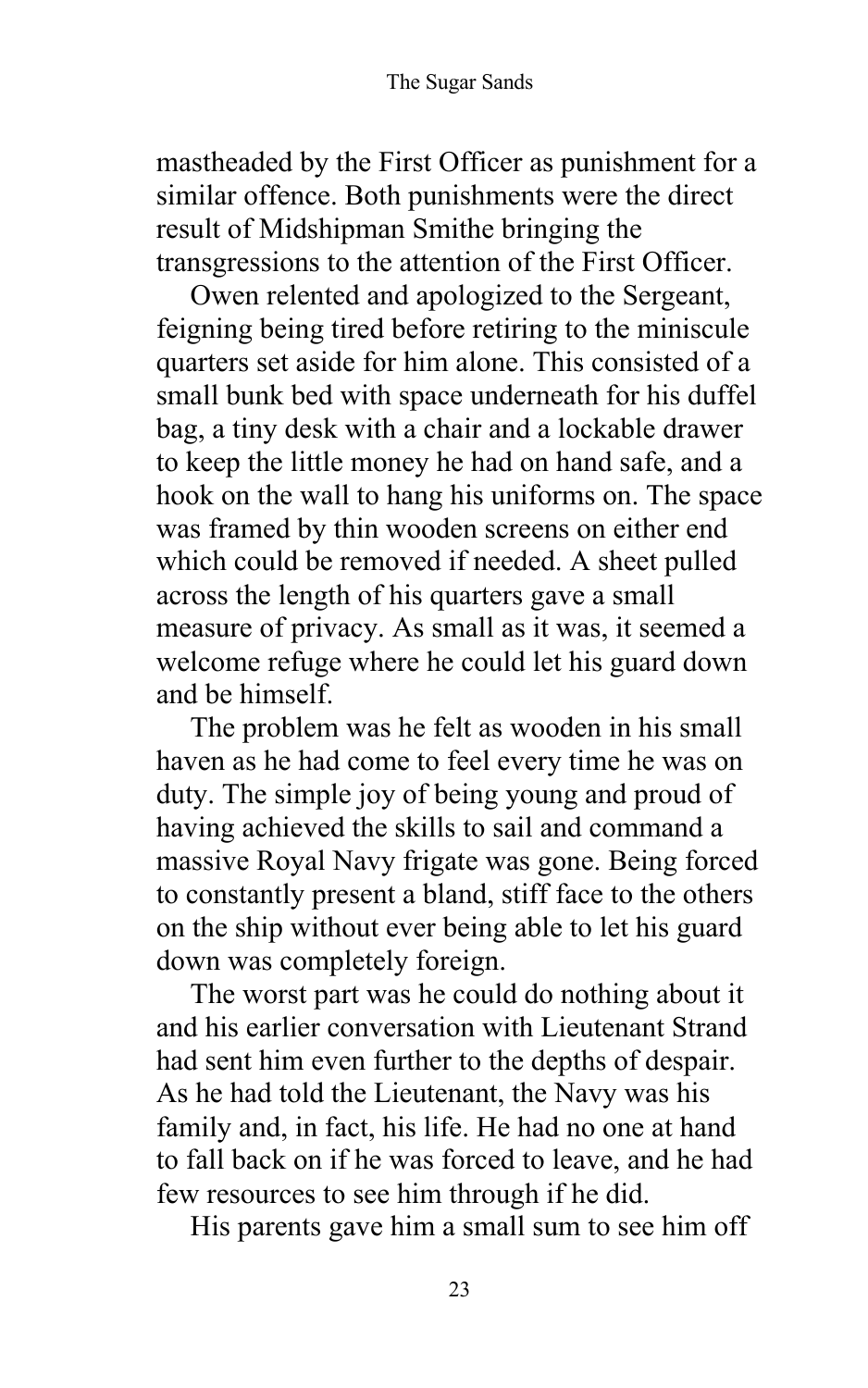mastheaded by the First Officer as punishment for a similar offence. Both punishments were the direct result of Midshipman Smithe bringing the transgressions to the attention of the First Officer.

Owen relented and apologized to the Sergeant, feigning being tired before retiring to the miniscule quarters set aside for him alone. This consisted of a small bunk bed with space underneath for his duffel bag, a tiny desk with a chair and a lockable drawer to keep the little money he had on hand safe, and a hook on the wall to hang his uniforms on. The space was framed by thin wooden screens on either end which could be removed if needed. A sheet pulled across the length of his quarters gave a small measure of privacy. As small as it was, it seemed a welcome refuge where he could let his guard down and be himself.

The problem was he felt as wooden in his small haven as he had come to feel every time he was on duty. The simple joy of being young and proud of having achieved the skills to sail and command a massive Royal Navy frigate was gone. Being forced to constantly present a bland, stiff face to the others on the ship without ever being able to let his guard down was completely foreign.

The worst part was he could do nothing about it and his earlier conversation with Lieutenant Strand had sent him even further to the depths of despair. As he had told the Lieutenant, the Navy was his family and, in fact, his life. He had no one at hand to fall back on if he was forced to leave, and he had few resources to see him through if he did.

His parents gave him a small sum to see him off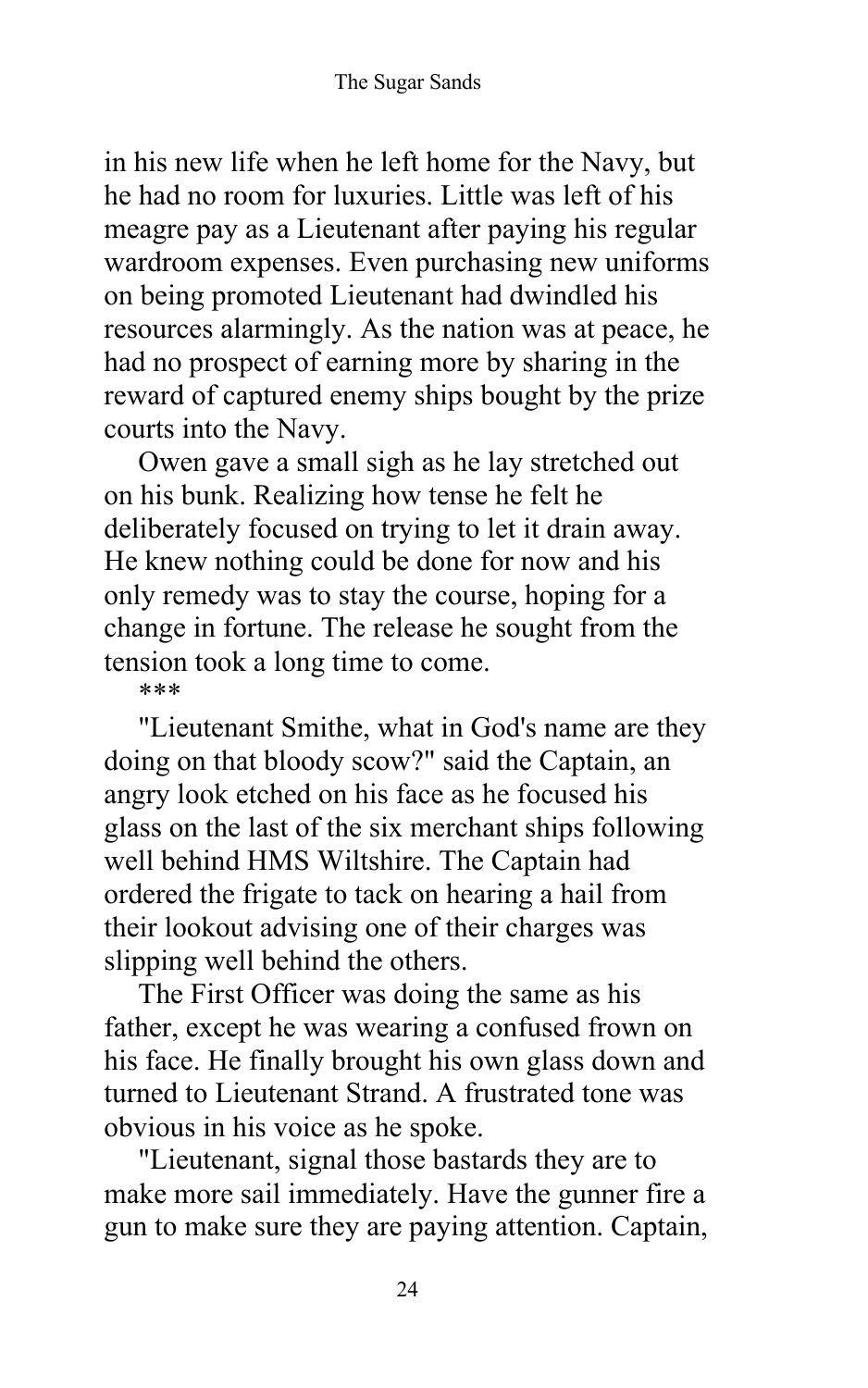in his new life when he left home for the Navy, but he had no room for luxuries. Little was left of his meagre pay as a Lieutenant after paying his regular wardroom expenses. Even purchasing new uniforms on being promoted Lieutenant had dwindled his resources alarmingly. As the nation was at peace, he had no prospect of earning more by sharing in the reward of captured enemy ships bought by the prize courts into the Navy.

Owen gave a small sigh as he lay stretched out on his bunk. Realizing how tense he felt he deliberately focused on trying to let it drain away. He knew nothing could be done for now and his only remedy was to stay the course, hoping for a change in fortune. The release he sought from the tension took a long time to come.

\*\*\*

"Lieutenant Smithe, what in God's name are they doing on that bloody scow?" said the Captain, an angry look etched on his face as he focused his glass on the last of the six merchant ships following well behind HMS Wiltshire. The Captain had ordered the frigate to tack on hearing a hail from their lookout advising one of their charges was slipping well behind the others.

The First Officer was doing the same as his father, except he was wearing a confused frown on his face. He finally brought his own glass down and turned to Lieutenant Strand. A frustrated tone was obvious in his voice as he spoke.

"Lieutenant, signal those bastards they are to make more sail immediately. Have the gunner fire a gun to make sure they are paying attention. Captain,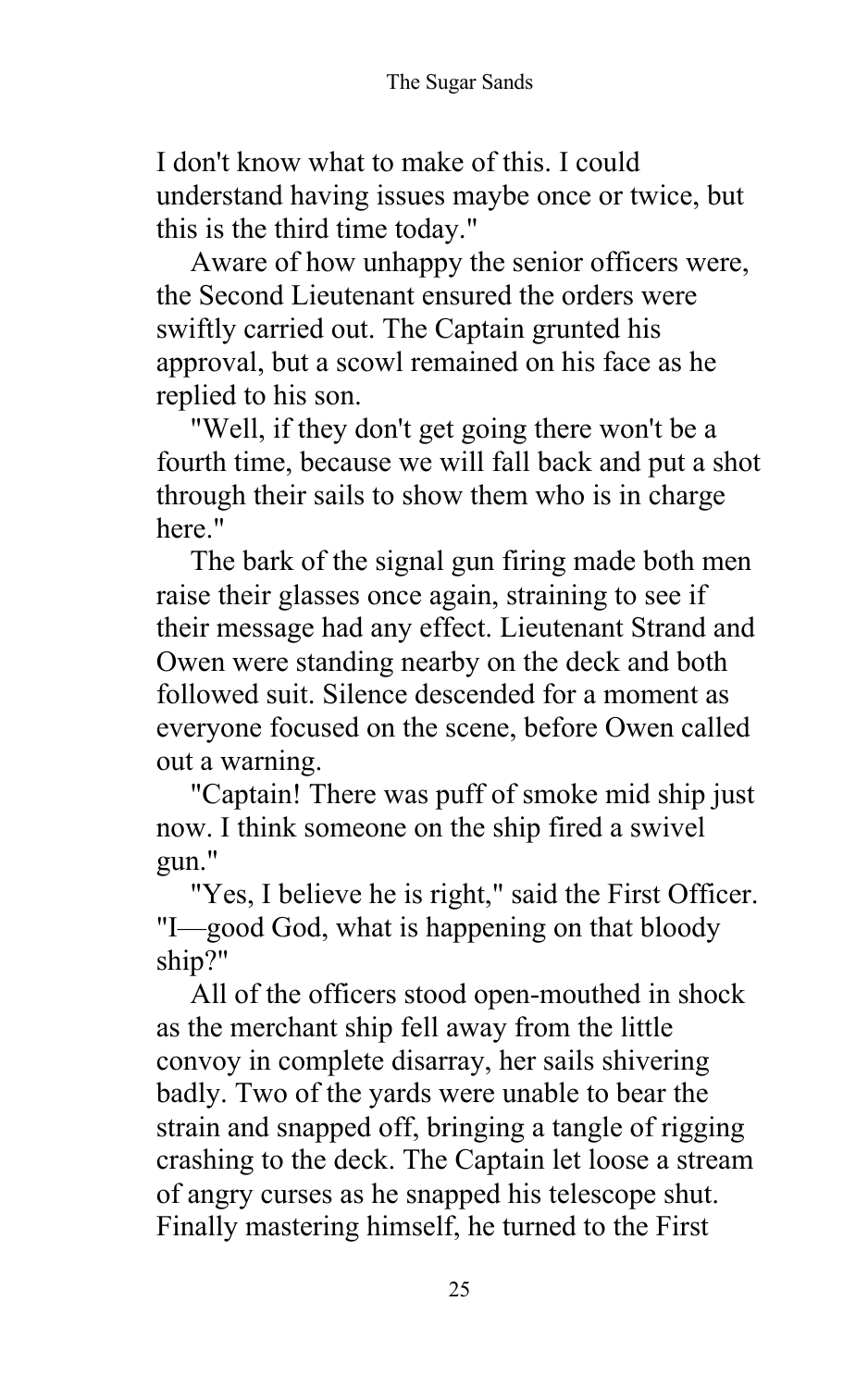I don't know what to make of this. I could understand having issues maybe once or twice, but this is the third time today."

Aware of how unhappy the senior officers were, the Second Lieutenant ensured the orders were swiftly carried out. The Captain grunted his approval, but a scowl remained on his face as he replied to his son.

"Well, if they don't get going there won't be a fourth time, because we will fall back and put a shot through their sails to show them who is in charge here."

The bark of the signal gun firing made both men raise their glasses once again, straining to see if their message had any effect. Lieutenant Strand and Owen were standing nearby on the deck and both followed suit. Silence descended for a moment as everyone focused on the scene, before Owen called out a warning.

"Captain! There was puff of smoke mid ship just now. I think someone on the ship fired a swivel gun."

"Yes, I believe he is right," said the First Officer. "I—good God, what is happening on that bloody ship?"

All of the officers stood open-mouthed in shock as the merchant ship fell away from the little convoy in complete disarray, her sails shivering badly. Two of the yards were unable to bear the strain and snapped off, bringing a tangle of rigging crashing to the deck. The Captain let loose a stream of angry curses as he snapped his telescope shut. Finally mastering himself, he turned to the First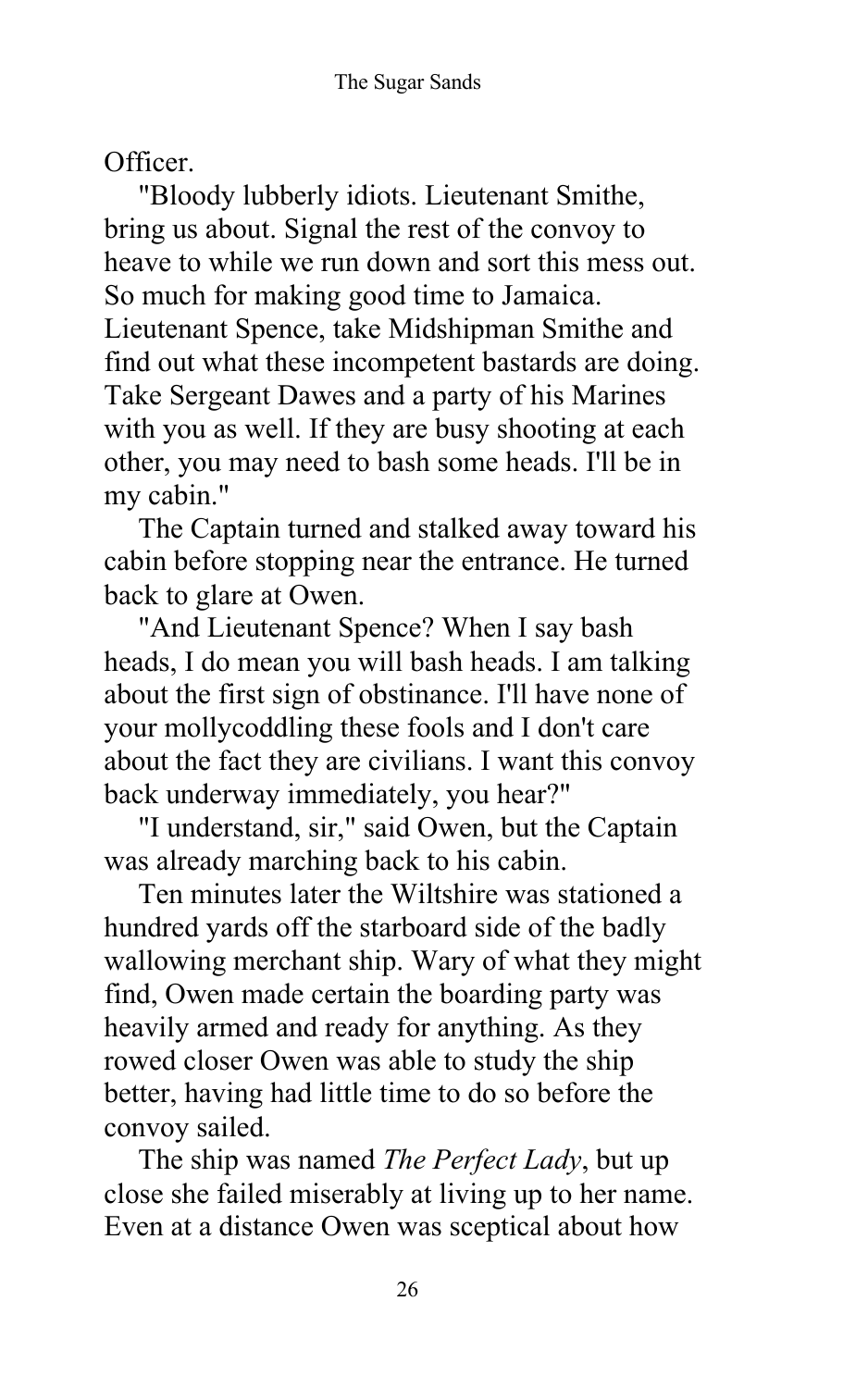Officer.

"Bloody lubberly idiots. Lieutenant Smithe, bring us about. Signal the rest of the convoy to heave to while we run down and sort this mess out. So much for making good time to Jamaica. Lieutenant Spence, take Midshipman Smithe and find out what these incompetent bastards are doing. Take Sergeant Dawes and a party of his Marines with you as well. If they are busy shooting at each other, you may need to bash some heads. I'll be in my cabin."

The Captain turned and stalked away toward his cabin before stopping near the entrance. He turned back to glare at Owen.

"And Lieutenant Spence? When I say bash heads, I do mean you will bash heads. I am talking about the first sign of obstinance. I'll have none of your mollycoddling these fools and I don't care about the fact they are civilians. I want this convoy back underway immediately, you hear?"

"I understand, sir," said Owen, but the Captain was already marching back to his cabin.

Ten minutes later the Wiltshire was stationed a hundred yards off the starboard side of the badly wallowing merchant ship. Wary of what they might find, Owen made certain the boarding party was heavily armed and ready for anything. As they rowed closer Owen was able to study the ship better, having had little time to do so before the convoy sailed.

The ship was named *The Perfect Lady*, but up close she failed miserably at living up to her name. Even at a distance Owen was sceptical about how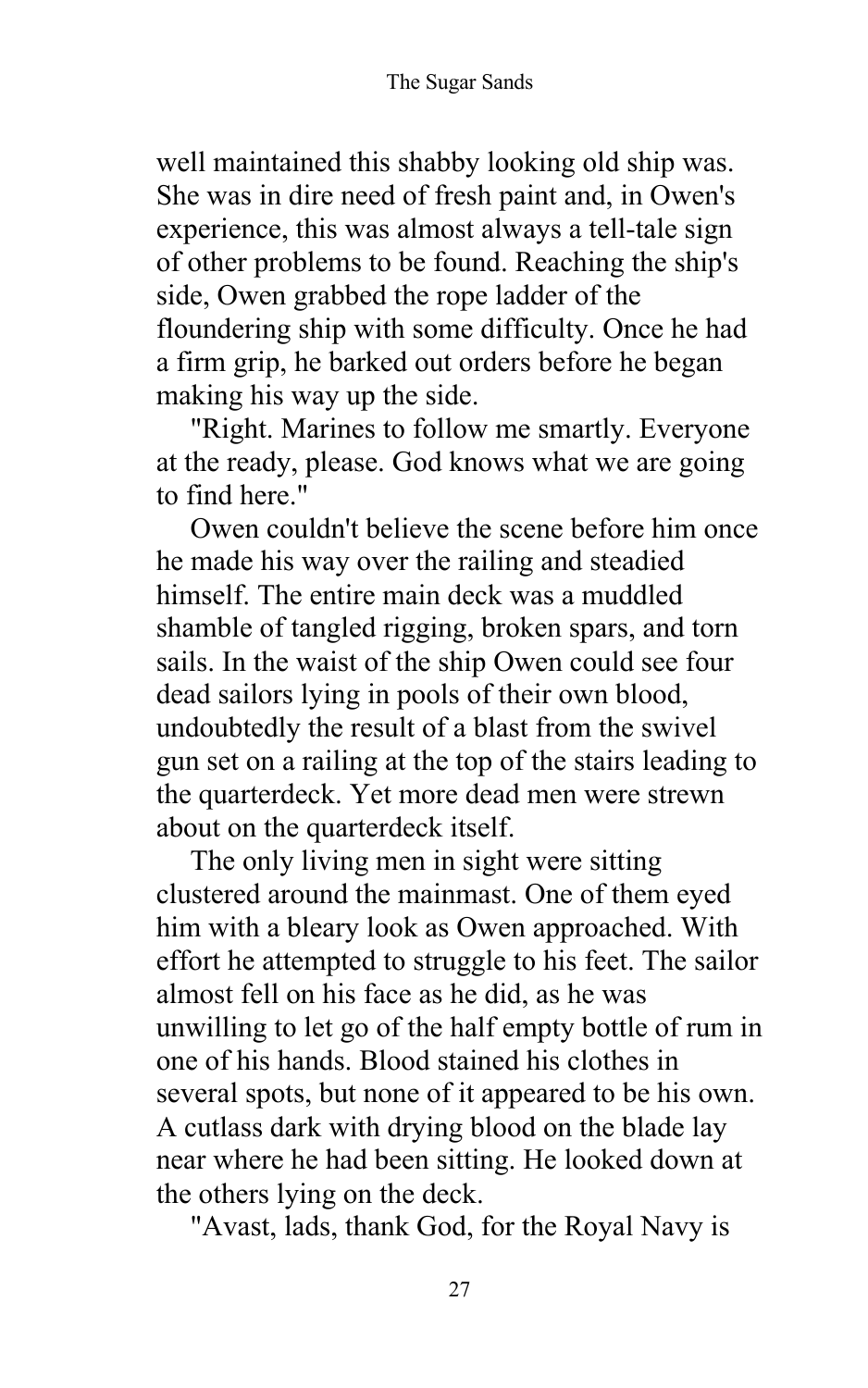well maintained this shabby looking old ship was. She was in dire need of fresh paint and, in Owen's experience, this was almost always a tell-tale sign of other problems to be found. Reaching the ship's side, Owen grabbed the rope ladder of the floundering ship with some difficulty. Once he had a firm grip, he barked out orders before he began making his way up the side.

"Right. Marines to follow me smartly. Everyone at the ready, please. God knows what we are going to find here."

Owen couldn't believe the scene before him once he made his way over the railing and steadied himself. The entire main deck was a muddled shamble of tangled rigging, broken spars, and torn sails. In the waist of the ship Owen could see four dead sailors lying in pools of their own blood, undoubtedly the result of a blast from the swivel gun set on a railing at the top of the stairs leading to the quarterdeck. Yet more dead men were strewn about on the quarterdeck itself.

The only living men in sight were sitting clustered around the mainmast. One of them eyed him with a bleary look as Owen approached. With effort he attempted to struggle to his feet. The sailor almost fell on his face as he did, as he was unwilling to let go of the half empty bottle of rum in one of his hands. Blood stained his clothes in several spots, but none of it appeared to be his own. A cutlass dark with drying blood on the blade lay near where he had been sitting. He looked down at the others lying on the deck.

"Avast, lads, thank God, for the Royal Navy is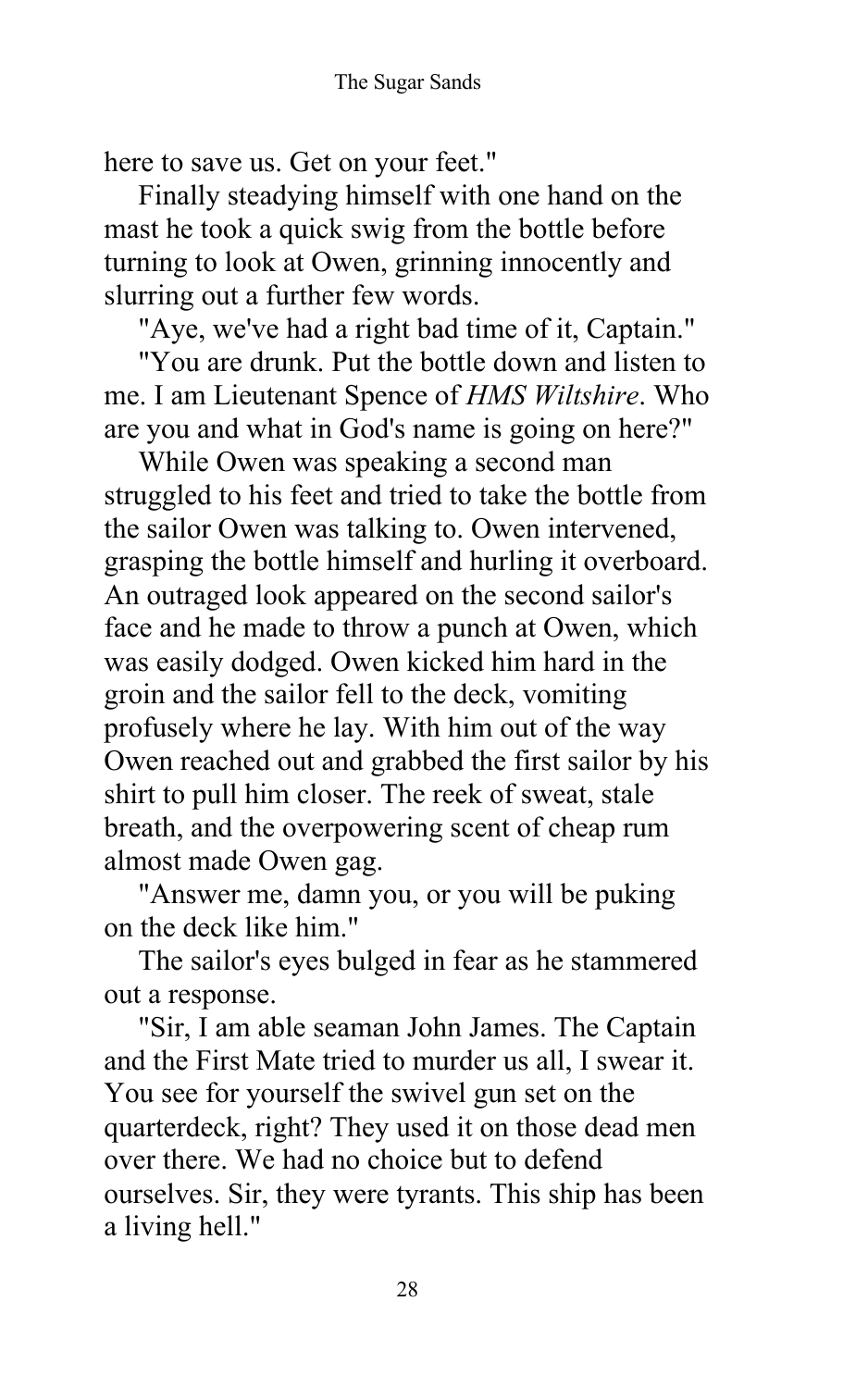here to save us. Get on your feet."

Finally steadying himself with one hand on the mast he took a quick swig from the bottle before turning to look at Owen, grinning innocently and slurring out a further few words.

"Aye, we've had a right bad time of it, Captain."

"You are drunk. Put the bottle down and listen to me. I am Lieutenant Spence of *HMS Wiltshire*. Who are you and what in God's name is going on here?"

While Owen was speaking a second man struggled to his feet and tried to take the bottle from the sailor Owen was talking to. Owen intervened, grasping the bottle himself and hurling it overboard. An outraged look appeared on the second sailor's face and he made to throw a punch at Owen, which was easily dodged. Owen kicked him hard in the groin and the sailor fell to the deck, vomiting profusely where he lay. With him out of the way Owen reached out and grabbed the first sailor by his shirt to pull him closer. The reek of sweat, stale breath, and the overpowering scent of cheap rum almost made Owen gag.

"Answer me, damn you, or you will be puking on the deck like him."

The sailor's eyes bulged in fear as he stammered out a response.

"Sir, I am able seaman John James. The Captain and the First Mate tried to murder us all, I swear it. You see for yourself the swivel gun set on the quarterdeck, right? They used it on those dead men over there. We had no choice but to defend ourselves. Sir, they were tyrants. This ship has been a living hell."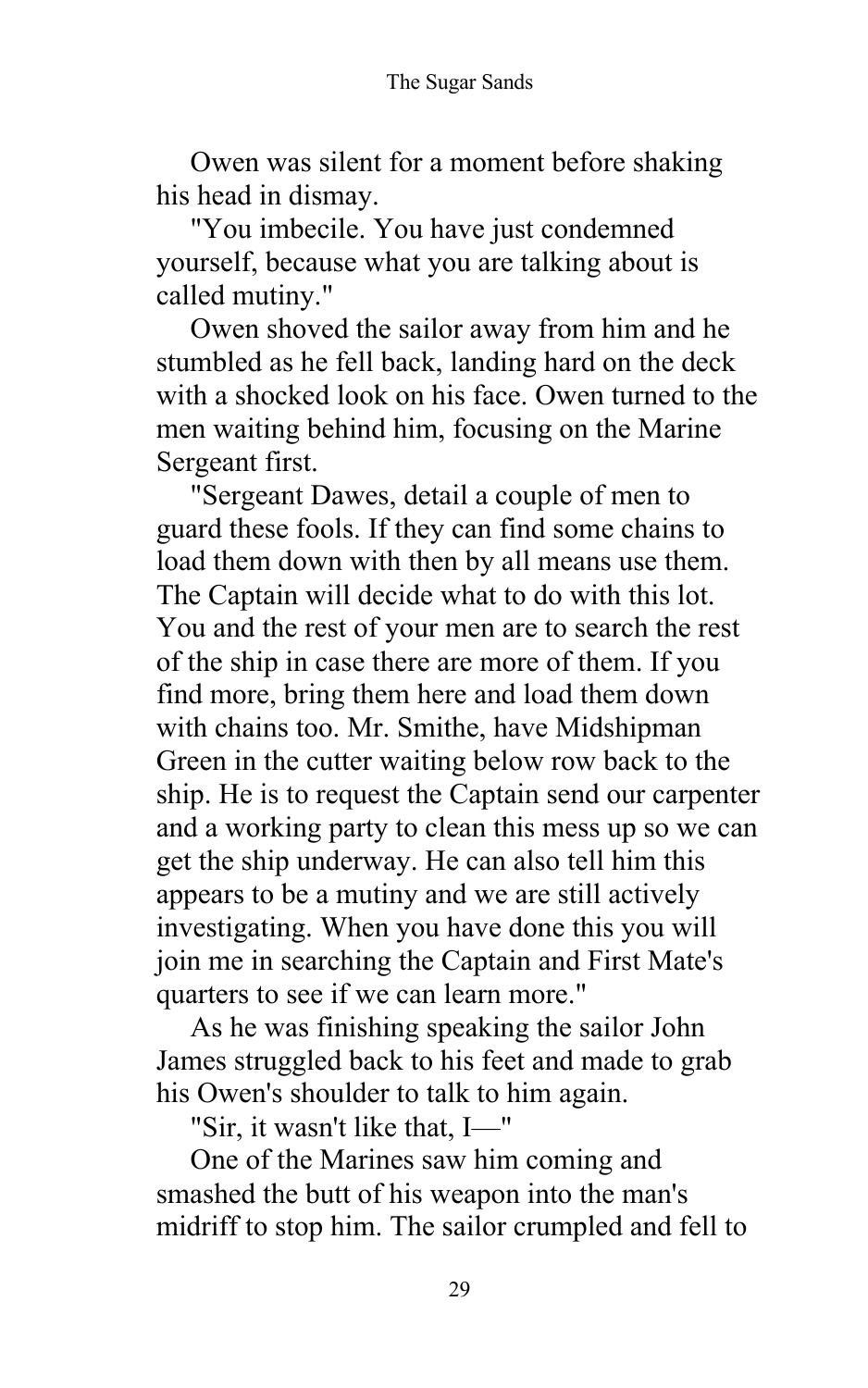Owen was silent for a moment before shaking his head in dismay.

"You imbecile. You have just condemned yourself, because what you are talking about is called mutiny."

Owen shoved the sailor away from him and he stumbled as he fell back, landing hard on the deck with a shocked look on his face. Owen turned to the men waiting behind him, focusing on the Marine Sergeant first.

"Sergeant Dawes, detail a couple of men to guard these fools. If they can find some chains to load them down with then by all means use them. The Captain will decide what to do with this lot. You and the rest of your men are to search the rest of the ship in case there are more of them. If you find more, bring them here and load them down with chains too. Mr. Smithe, have Midshipman Green in the cutter waiting below row back to the ship. He is to request the Captain send our carpenter and a working party to clean this mess up so we can get the ship underway. He can also tell him this appears to be a mutiny and we are still actively investigating. When you have done this you will join me in searching the Captain and First Mate's quarters to see if we can learn more."

As he was finishing speaking the sailor John James struggled back to his feet and made to grab his Owen's shoulder to talk to him again.

"Sir, it wasn't like that, I—"

One of the Marines saw him coming and smashed the butt of his weapon into the man's midriff to stop him. The sailor crumpled and fell to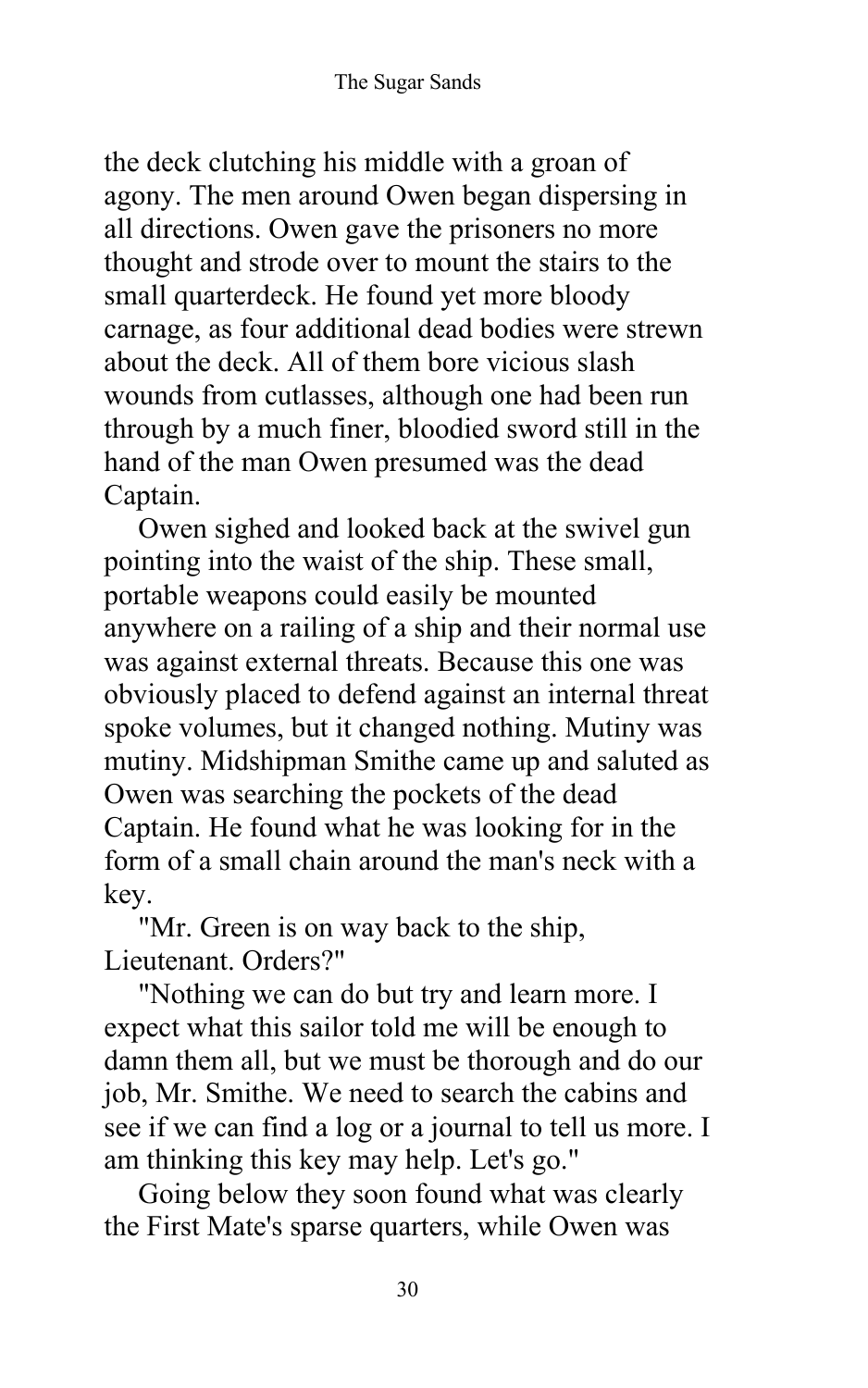the deck clutching his middle with a groan of agony. The men around Owen began dispersing in all directions. Owen gave the prisoners no more thought and strode over to mount the stairs to the small quarterdeck. He found yet more bloody carnage, as four additional dead bodies were strewn about the deck. All of them bore vicious slash wounds from cutlasses, although one had been run through by a much finer, bloodied sword still in the hand of the man Owen presumed was the dead Captain.

Owen sighed and looked back at the swivel gun pointing into the waist of the ship. These small, portable weapons could easily be mounted anywhere on a railing of a ship and their normal use was against external threats. Because this one was obviously placed to defend against an internal threat spoke volumes, but it changed nothing. Mutiny was mutiny. Midshipman Smithe came up and saluted as Owen was searching the pockets of the dead Captain. He found what he was looking for in the form of a small chain around the man's neck with a key.

"Mr. Green is on way back to the ship, Lieutenant. Orders?"

"Nothing we can do but try and learn more. I expect what this sailor told me will be enough to damn them all, but we must be thorough and do our job, Mr. Smithe. We need to search the cabins and see if we can find a log or a journal to tell us more. I am thinking this key may help. Let's go."

Going below they soon found what was clearly the First Mate's sparse quarters, while Owen was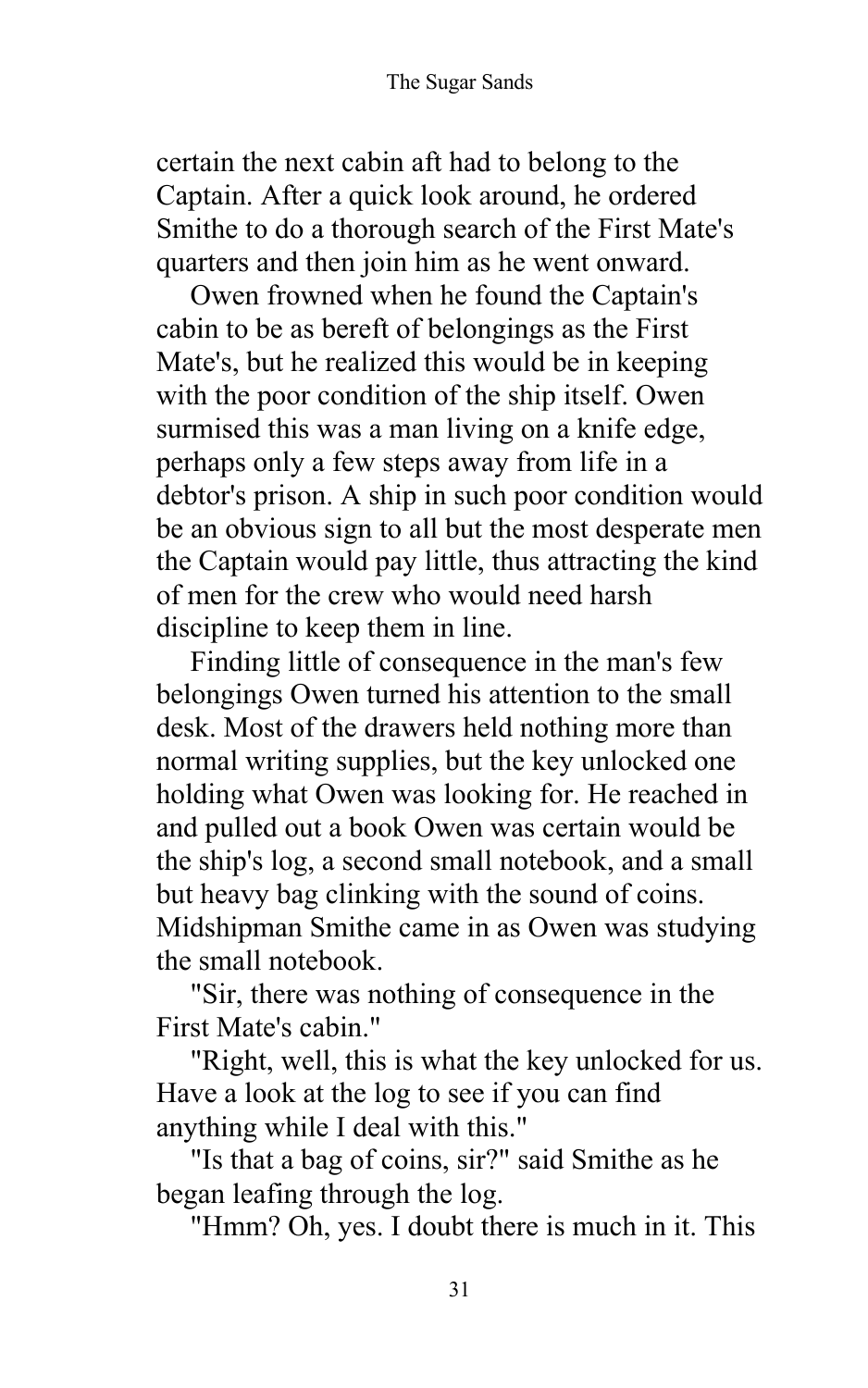certain the next cabin aft had to belong to the Captain. After a quick look around, he ordered Smithe to do a thorough search of the First Mate's quarters and then join him as he went onward.

Owen frowned when he found the Captain's cabin to be as bereft of belongings as the First Mate's, but he realized this would be in keeping with the poor condition of the ship itself. Owen surmised this was a man living on a knife edge, perhaps only a few steps away from life in a debtor's prison. A ship in such poor condition would be an obvious sign to all but the most desperate men the Captain would pay little, thus attracting the kind of men for the crew who would need harsh discipline to keep them in line.

Finding little of consequence in the man's few belongings Owen turned his attention to the small desk. Most of the drawers held nothing more than normal writing supplies, but the key unlocked one holding what Owen was looking for. He reached in and pulled out a book Owen was certain would be the ship's log, a second small notebook, and a small but heavy bag clinking with the sound of coins. Midshipman Smithe came in as Owen was studying the small notebook.

"Sir, there was nothing of consequence in the First Mate's cabin."

"Right, well, this is what the key unlocked for us. Have a look at the log to see if you can find anything while I deal with this."

"Is that a bag of coins, sir?" said Smithe as he began leafing through the log.

"Hmm? Oh, yes. I doubt there is much in it. This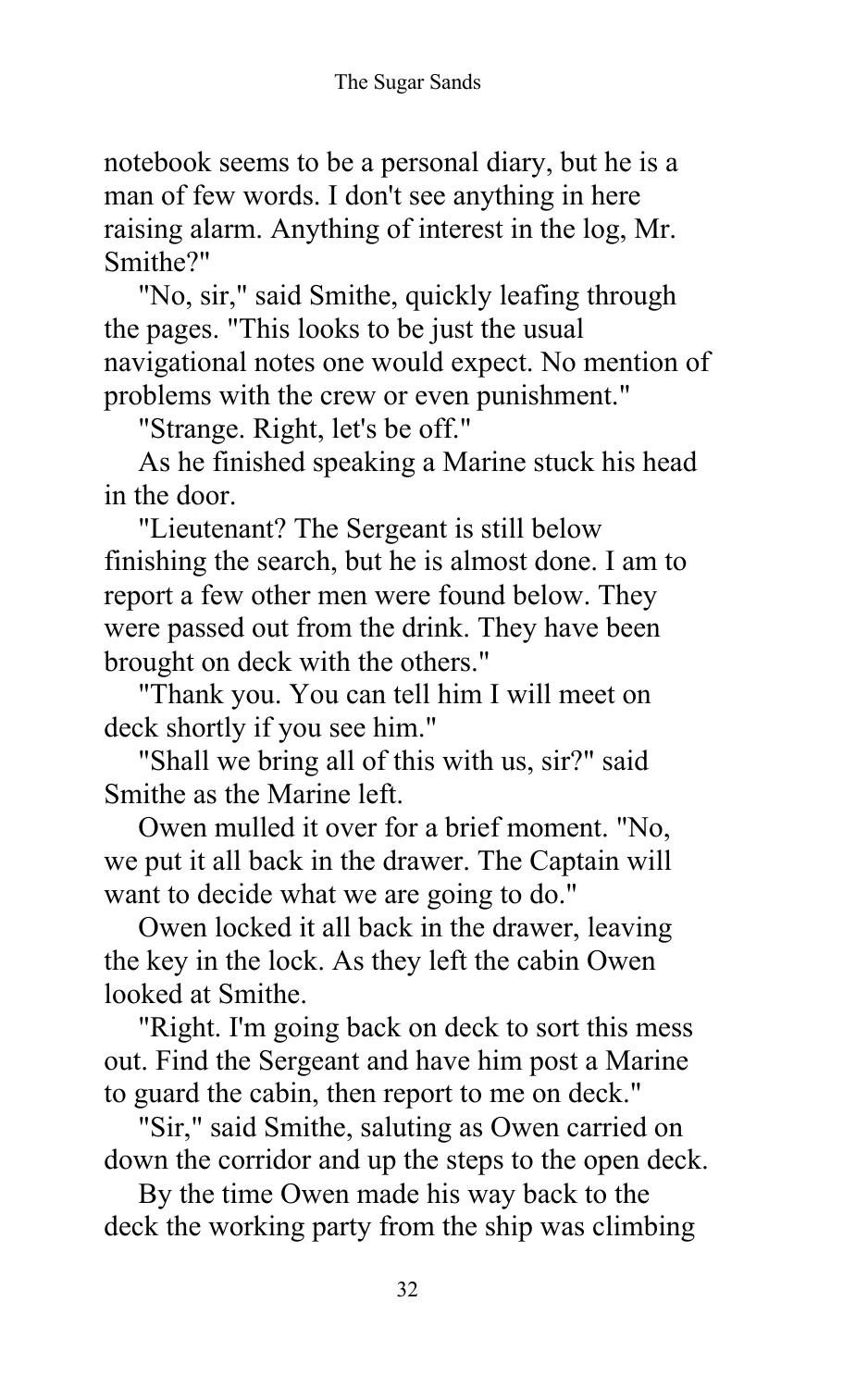notebook seems to be a personal diary, but he is a man of few words. I don't see anything in here raising alarm. Anything of interest in the log, Mr. Smithe?"

"No, sir," said Smithe, quickly leafing through the pages. "This looks to be just the usual navigational notes one would expect. No mention of problems with the crew or even punishment."

"Strange. Right, let's be off."

As he finished speaking a Marine stuck his head in the door.

"Lieutenant? The Sergeant is still below finishing the search, but he is almost done. I am to report a few other men were found below. They were passed out from the drink. They have been brought on deck with the others."

"Thank you. You can tell him I will meet on deck shortly if you see him."

"Shall we bring all of this with us, sir?" said Smithe as the Marine left.

Owen mulled it over for a brief moment. "No, we put it all back in the drawer. The Captain will want to decide what we are going to do."

Owen locked it all back in the drawer, leaving the key in the lock. As they left the cabin Owen looked at Smithe.

"Right. I'm going back on deck to sort this mess out. Find the Sergeant and have him post a Marine to guard the cabin, then report to me on deck."

"Sir," said Smithe, saluting as Owen carried on down the corridor and up the steps to the open deck.

By the time Owen made his way back to the deck the working party from the ship was climbing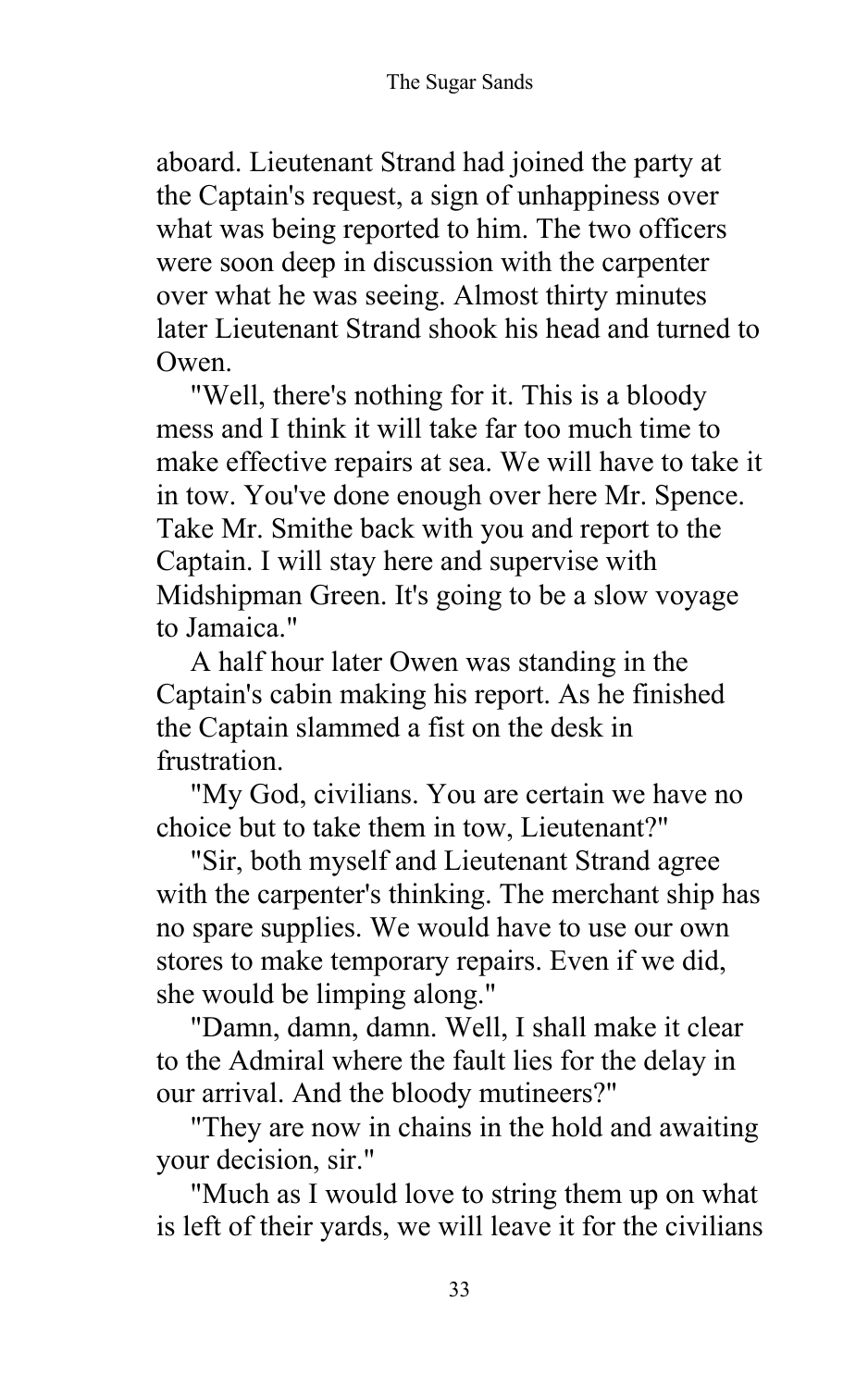aboard. Lieutenant Strand had joined the party at the Captain's request, a sign of unhappiness over what was being reported to him. The two officers were soon deep in discussion with the carpenter over what he was seeing. Almost thirty minutes later Lieutenant Strand shook his head and turned to Owen.

"Well, there's nothing for it. This is a bloody mess and I think it will take far too much time to make effective repairs at sea. We will have to take it in tow. You've done enough over here Mr. Spence. Take Mr. Smithe back with you and report to the Captain. I will stay here and supervise with Midshipman Green. It's going to be a slow voyage to Jamaica."

A half hour later Owen was standing in the Captain's cabin making his report. As he finished the Captain slammed a fist on the desk in frustration.

"My God, civilians. You are certain we have no choice but to take them in tow, Lieutenant?"

"Sir, both myself and Lieutenant Strand agree with the carpenter's thinking. The merchant ship has no spare supplies. We would have to use our own stores to make temporary repairs. Even if we did, she would be limping along."

"Damn, damn, damn. Well, I shall make it clear to the Admiral where the fault lies for the delay in our arrival. And the bloody mutineers?"

"They are now in chains in the hold and awaiting your decision, sir."

"Much as I would love to string them up on what is left of their yards, we will leave it for the civilians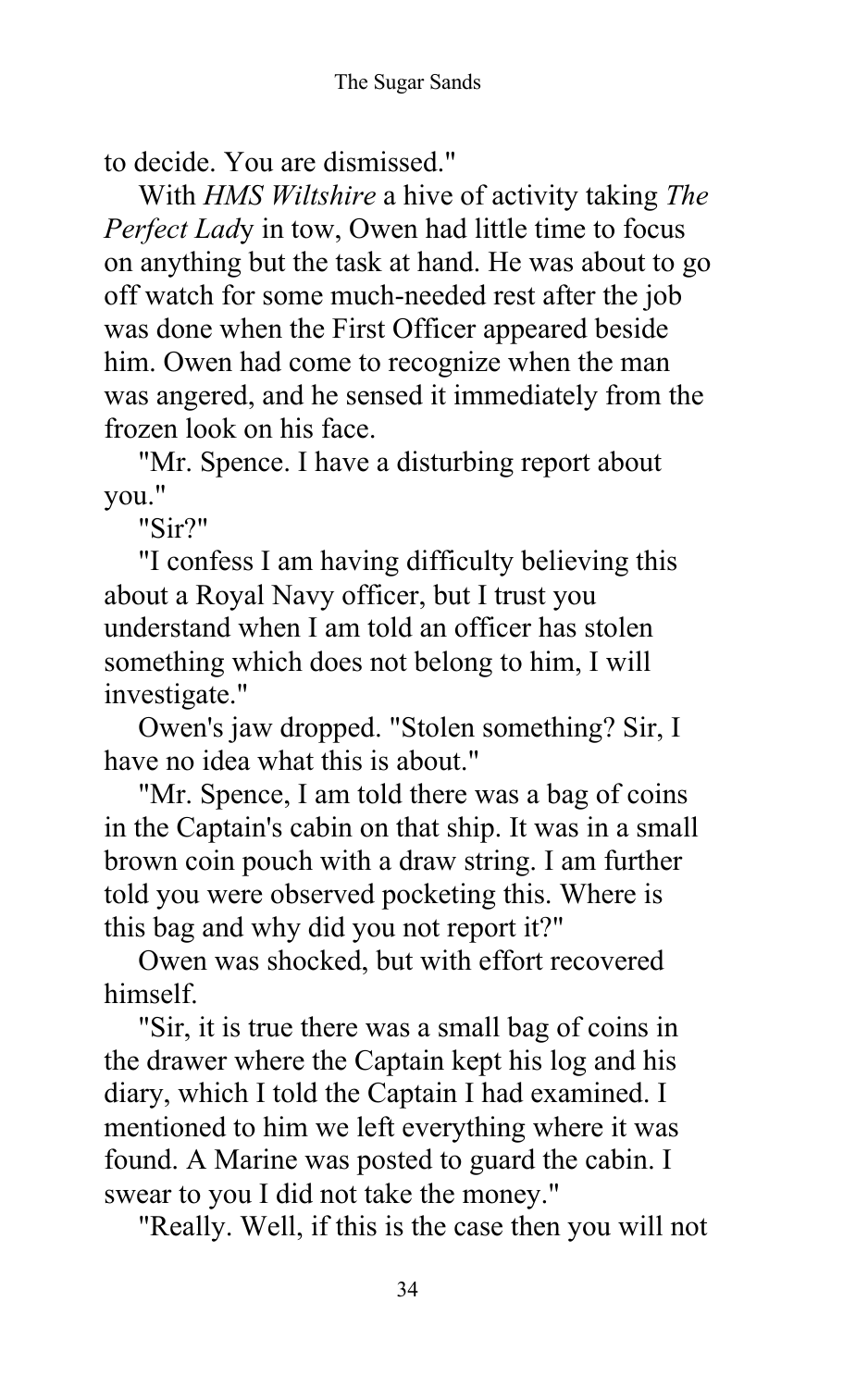to decide. You are dismissed."

With *HMS Wiltshire* a hive of activity taking *The Perfect Lad*y in tow, Owen had little time to focus on anything but the task at hand. He was about to go off watch for some much-needed rest after the job was done when the First Officer appeared beside him. Owen had come to recognize when the man was angered, and he sensed it immediately from the frozen look on his face.

"Mr. Spence. I have a disturbing report about you."

"Sir?"

"I confess I am having difficulty believing this about a Royal Navy officer, but I trust you understand when I am told an officer has stolen something which does not belong to him, I will investigate."

Owen's jaw dropped. "Stolen something? Sir, I have no idea what this is about."

"Mr. Spence, I am told there was a bag of coins in the Captain's cabin on that ship. It was in a small brown coin pouch with a draw string. I am further told you were observed pocketing this. Where is this bag and why did you not report it?"

Owen was shocked, but with effort recovered himself.

"Sir, it is true there was a small bag of coins in the drawer where the Captain kept his log and his diary, which I told the Captain I had examined. I mentioned to him we left everything where it was found. A Marine was posted to guard the cabin. I swear to you I did not take the money."

"Really. Well, if this is the case then you will not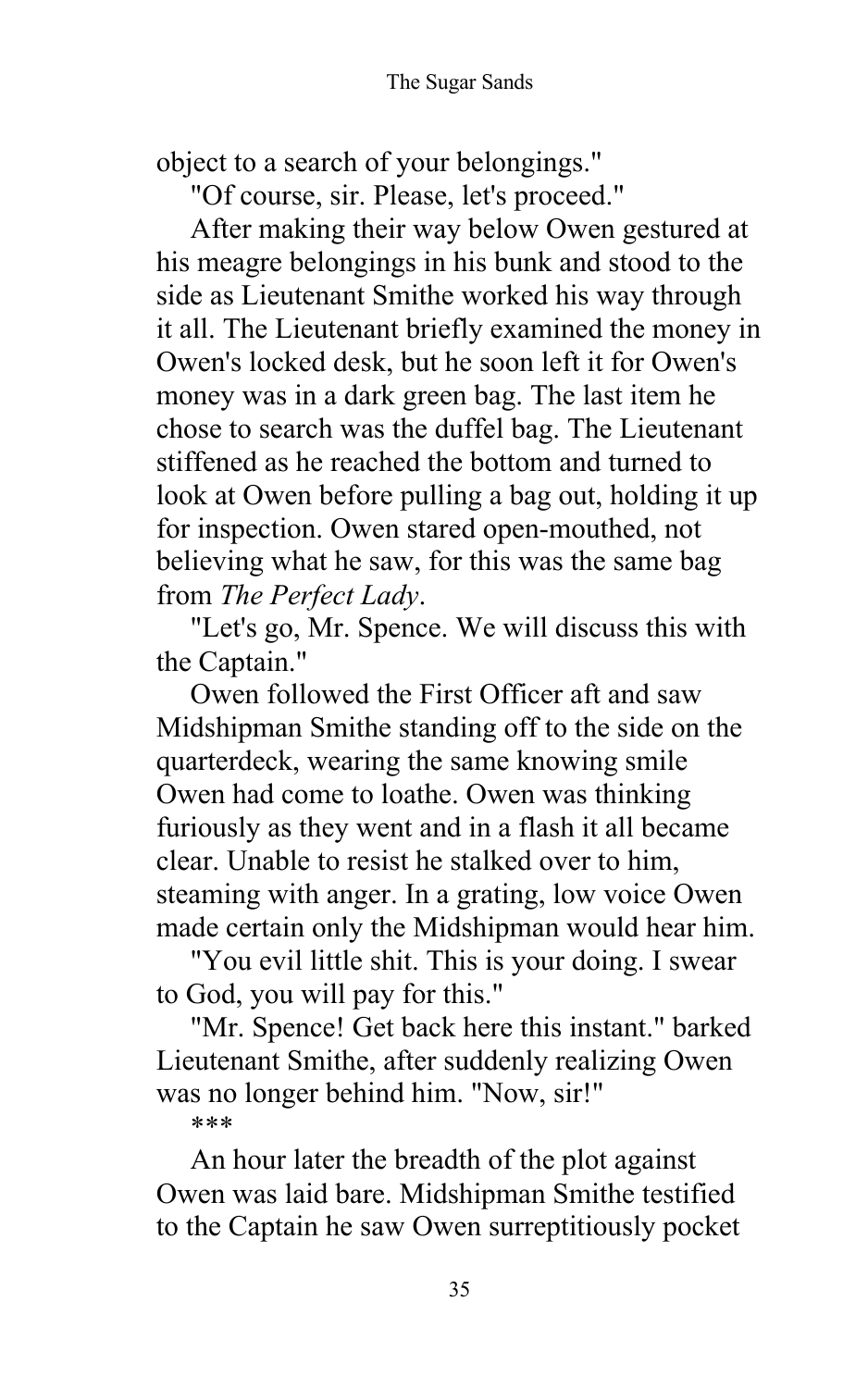object to a search of your belongings."

"Of course, sir. Please, let's proceed."

After making their way below Owen gestured at his meagre belongings in his bunk and stood to the side as Lieutenant Smithe worked his way through it all. The Lieutenant briefly examined the money in Owen's locked desk, but he soon left it for Owen's money was in a dark green bag. The last item he chose to search was the duffel bag. The Lieutenant stiffened as he reached the bottom and turned to look at Owen before pulling a bag out, holding it up for inspection. Owen stared open-mouthed, not believing what he saw, for this was the same bag from *The Perfect Lady*.

"Let's go, Mr. Spence. We will discuss this with the Captain."

Owen followed the First Officer aft and saw Midshipman Smithe standing off to the side on the quarterdeck, wearing the same knowing smile Owen had come to loathe. Owen was thinking furiously as they went and in a flash it all became clear. Unable to resist he stalked over to him, steaming with anger. In a grating, low voice Owen made certain only the Midshipman would hear him.

"You evil little shit. This is your doing. I swear to God, you will pay for this."

"Mr. Spence! Get back here this instant." barked Lieutenant Smithe, after suddenly realizing Owen was no longer behind him. "Now, sir!"

\*\*\*

An hour later the breadth of the plot against Owen was laid bare. Midshipman Smithe testified to the Captain he saw Owen surreptitiously pocket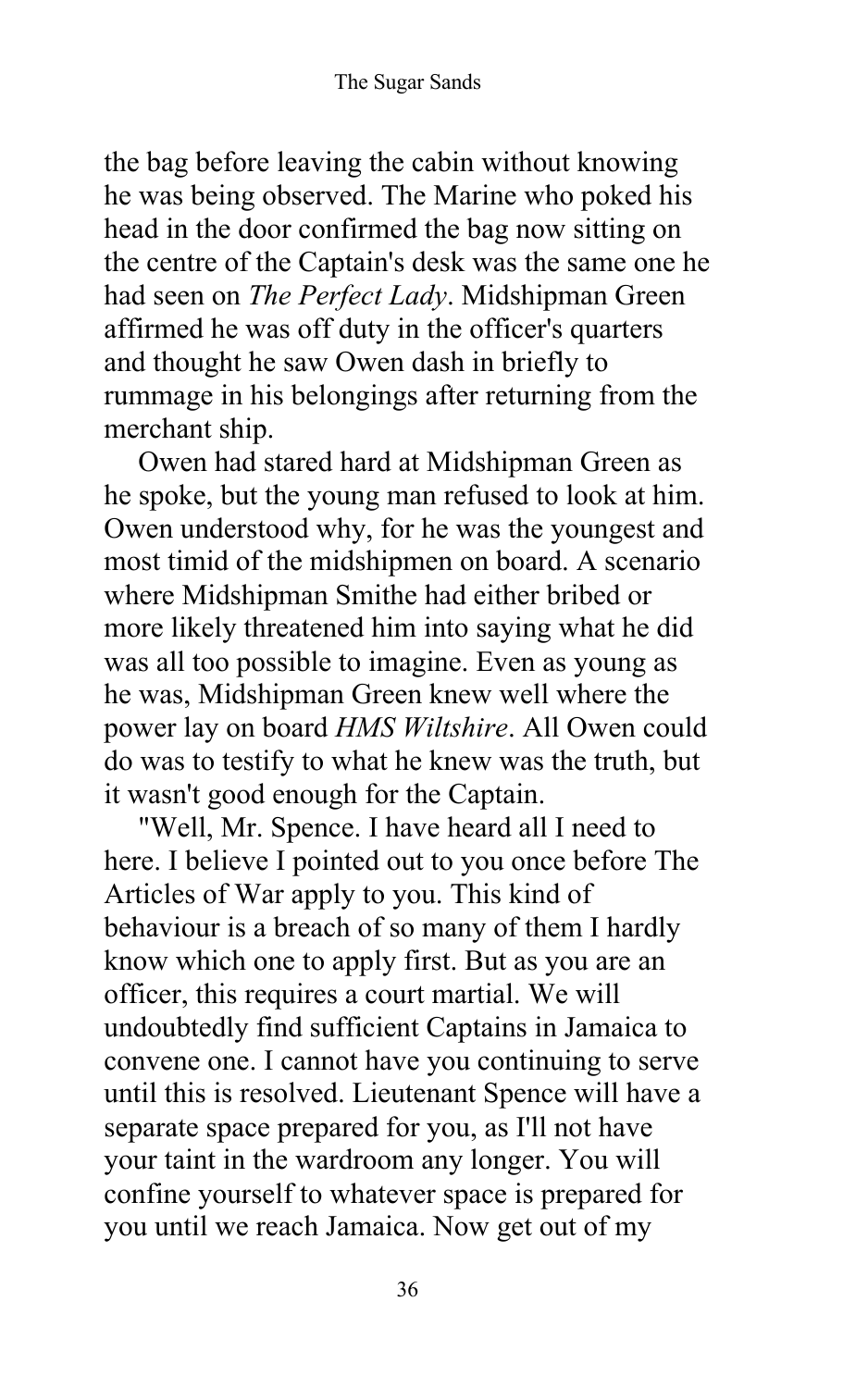the bag before leaving the cabin without knowing he was being observed. The Marine who poked his head in the door confirmed the bag now sitting on the centre of the Captain's desk was the same one he had seen on *The Perfect Lady*. Midshipman Green affirmed he was off duty in the officer's quarters and thought he saw Owen dash in briefly to rummage in his belongings after returning from the merchant ship.

Owen had stared hard at Midshipman Green as he spoke, but the young man refused to look at him. Owen understood why, for he was the youngest and most timid of the midshipmen on board. A scenario where Midshipman Smithe had either bribed or more likely threatened him into saying what he did was all too possible to imagine. Even as young as he was, Midshipman Green knew well where the power lay on board *HMS Wiltshire*. All Owen could do was to testify to what he knew was the truth, but it wasn't good enough for the Captain.

"Well, Mr. Spence. I have heard all I need to here. I believe I pointed out to you once before The Articles of War apply to you. This kind of behaviour is a breach of so many of them I hardly know which one to apply first. But as you are an officer, this requires a court martial. We will undoubtedly find sufficient Captains in Jamaica to convene one. I cannot have you continuing to serve until this is resolved. Lieutenant Spence will have a separate space prepared for you, as I'll not have your taint in the wardroom any longer. You will confine yourself to whatever space is prepared for you until we reach Jamaica. Now get out of my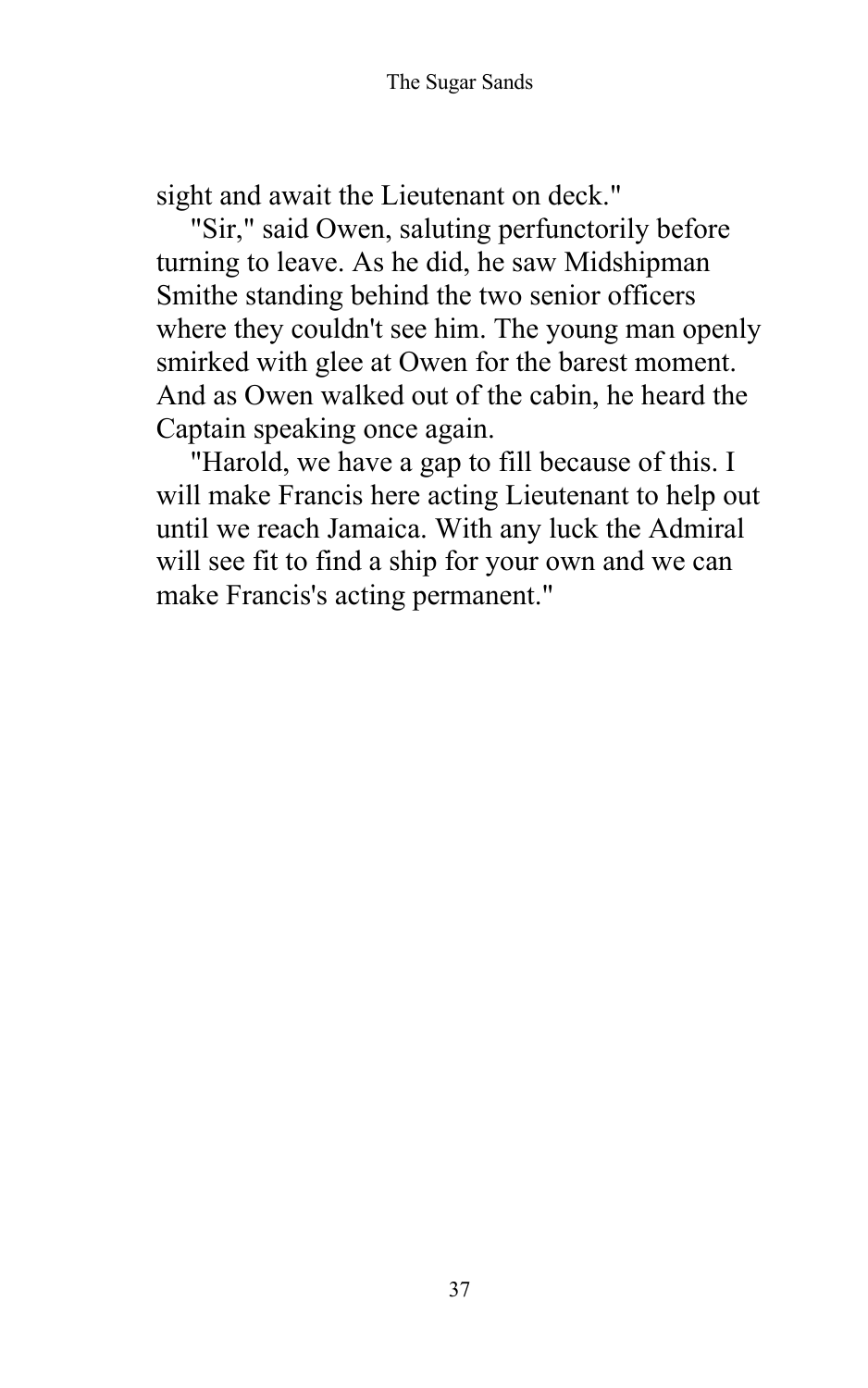sight and await the Lieutenant on deck."

"Sir," said Owen, saluting perfunctorily before turning to leave. As he did, he saw Midshipman Smithe standing behind the two senior officers where they couldn't see him. The young man openly smirked with glee at Owen for the barest moment. And as Owen walked out of the cabin, he heard the Captain speaking once again.

"Harold, we have a gap to fill because of this. I will make Francis here acting Lieutenant to help out until we reach Jamaica. With any luck the Admiral will see fit to find a ship for your own and we can make Francis's acting permanent."